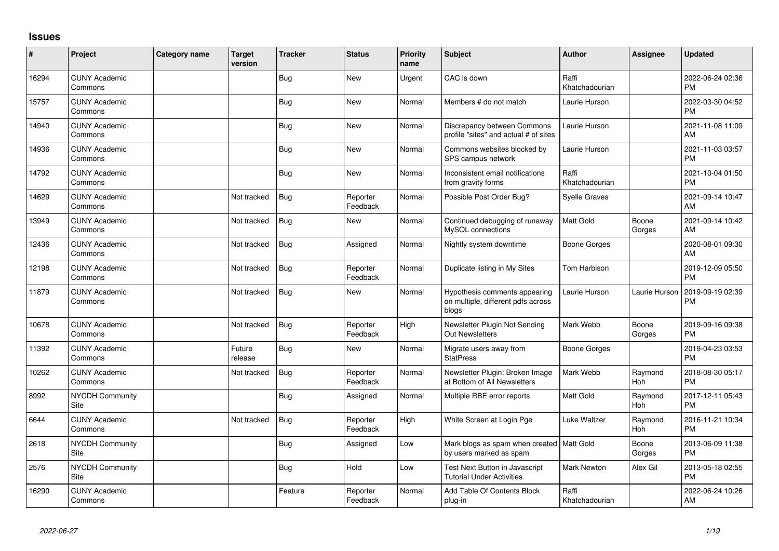## **Issues**

| ∦     | Project                         | <b>Category name</b> | Target<br>version | <b>Tracker</b> | <b>Status</b>        | <b>Priority</b><br>name | <b>Subject</b>                                                               | <b>Author</b>           | Assignee              | <b>Updated</b>                |
|-------|---------------------------------|----------------------|-------------------|----------------|----------------------|-------------------------|------------------------------------------------------------------------------|-------------------------|-----------------------|-------------------------------|
| 16294 | <b>CUNY Academic</b><br>Commons |                      |                   | <b>Bug</b>     | <b>New</b>           | Urgent                  | CAC is down                                                                  | Raffi<br>Khatchadourian |                       | 2022-06-24 02:36<br><b>PM</b> |
| 15757 | <b>CUNY Academic</b><br>Commons |                      |                   | <b>Bug</b>     | <b>New</b>           | Normal                  | Members # do not match                                                       | Laurie Hurson           |                       | 2022-03-30 04:52<br><b>PM</b> |
| 14940 | <b>CUNY Academic</b><br>Commons |                      |                   | <b>Bug</b>     | <b>New</b>           | Normal                  | Discrepancy between Commons<br>profile "sites" and actual # of sites         | Laurie Hurson           |                       | 2021-11-08 11:09<br>AM        |
| 14936 | <b>CUNY Academic</b><br>Commons |                      |                   | Bug            | New                  | Normal                  | Commons websites blocked by<br>SPS campus network                            | Laurie Hurson           |                       | 2021-11-03 03:57<br><b>PM</b> |
| 14792 | <b>CUNY Academic</b><br>Commons |                      |                   | <b>Bug</b>     | <b>New</b>           | Normal                  | Inconsistent email notifications<br>from gravity forms                       | Raffi<br>Khatchadourian |                       | 2021-10-04 01:50<br><b>PM</b> |
| 14629 | <b>CUNY Academic</b><br>Commons |                      | Not tracked       | <b>Bug</b>     | Reporter<br>Feedback | Normal                  | Possible Post Order Bug?                                                     | Syelle Graves           |                       | 2021-09-14 10:47<br>AM        |
| 13949 | <b>CUNY Academic</b><br>Commons |                      | Not tracked       | <b>Bug</b>     | New                  | Normal                  | Continued debugging of runaway<br>MySQL connections                          | Matt Gold               | Boone<br>Gorges       | 2021-09-14 10:42<br>AM        |
| 12436 | <b>CUNY Academic</b><br>Commons |                      | Not tracked       | <b>Bug</b>     | Assigned             | Normal                  | Nightly system downtime                                                      | <b>Boone Gorges</b>     |                       | 2020-08-01 09:30<br>AM        |
| 12198 | <b>CUNY Academic</b><br>Commons |                      | Not tracked       | Bug            | Reporter<br>Feedback | Normal                  | Duplicate listing in My Sites                                                | Tom Harbison            |                       | 2019-12-09 05:50<br><b>PM</b> |
| 11879 | <b>CUNY Academic</b><br>Commons |                      | Not tracked       | <b>Bug</b>     | <b>New</b>           | Normal                  | Hypothesis comments appearing<br>on multiple, different pdfs across<br>blogs | Laurie Hurson           | Laurie Hurson         | 2019-09-19 02:39<br><b>PM</b> |
| 10678 | <b>CUNY Academic</b><br>Commons |                      | Not tracked       | Bug            | Reporter<br>Feedback | High                    | Newsletter Plugin Not Sending<br><b>Out Newsletters</b>                      | Mark Webb               | Boone<br>Gorges       | 2019-09-16 09:38<br><b>PM</b> |
| 11392 | <b>CUNY Academic</b><br>Commons |                      | Future<br>release | <b>Bug</b>     | New                  | Normal                  | Migrate users away from<br><b>StatPress</b>                                  | <b>Boone Gorges</b>     |                       | 2019-04-23 03:53<br><b>PM</b> |
| 10262 | <b>CUNY Academic</b><br>Commons |                      | Not tracked       | <b>Bug</b>     | Reporter<br>Feedback | Normal                  | Newsletter Plugin: Broken Image<br>at Bottom of All Newsletters              | Mark Webb               | Raymond<br>Hoh        | 2018-08-30 05:17<br><b>PM</b> |
| 8992  | NYCDH Community<br>Site         |                      |                   | <b>Bug</b>     | Assigned             | Normal                  | Multiple RBE error reports                                                   | Matt Gold               | Raymond<br><b>Hoh</b> | 2017-12-11 05:43<br><b>PM</b> |
| 6644  | <b>CUNY Academic</b><br>Commons |                      | Not tracked       | <b>Bug</b>     | Reporter<br>Feedback | High                    | White Screen at Login Pge                                                    | <b>Luke Waltzer</b>     | Raymond<br>Hoh        | 2016-11-21 10:34<br><b>PM</b> |
| 2618  | NYCDH Community<br>Site         |                      |                   | <b>Bug</b>     | Assigned             | Low                     | Mark blogs as spam when created   Matt Gold<br>by users marked as spam       |                         | Boone<br>Gorges       | 2013-06-09 11:38<br><b>PM</b> |
| 2576  | NYCDH Community<br>Site         |                      |                   | <b>Bug</b>     | Hold                 | Low                     | <b>Test Next Button in Javascript</b><br><b>Tutorial Under Activities</b>    | <b>Mark Newton</b>      | Alex Gil              | 2013-05-18 02:55<br><b>PM</b> |
| 16290 | <b>CUNY Academic</b><br>Commons |                      |                   | Feature        | Reporter<br>Feedback | Normal                  | Add Table Of Contents Block<br>plug-in                                       | Raffi<br>Khatchadourian |                       | 2022-06-24 10:26<br>AM        |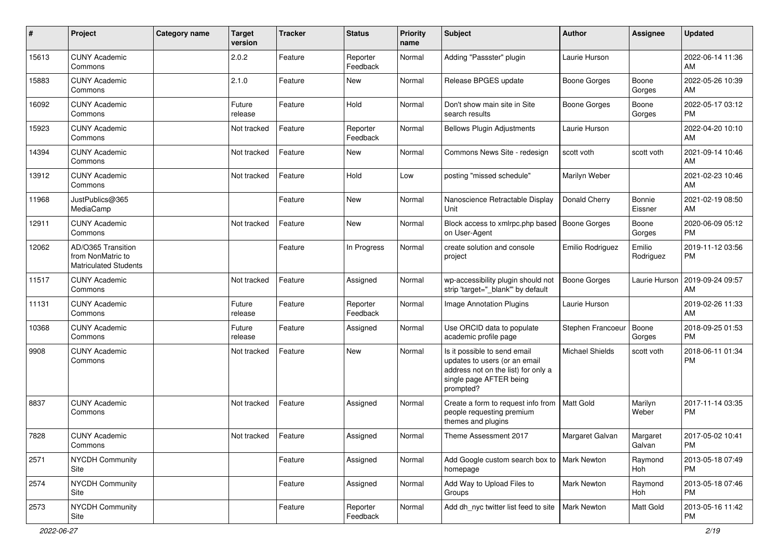| #     | Project                                                                 | <b>Category name</b> | <b>Target</b><br>version | <b>Tracker</b> | <b>Status</b>        | <b>Priority</b><br>name | Subject                                                                                                                                      | Author              | <b>Assignee</b>     | <b>Updated</b>                |
|-------|-------------------------------------------------------------------------|----------------------|--------------------------|----------------|----------------------|-------------------------|----------------------------------------------------------------------------------------------------------------------------------------------|---------------------|---------------------|-------------------------------|
| 15613 | <b>CUNY Academic</b><br>Commons                                         |                      | 2.0.2                    | Feature        | Reporter<br>Feedback | Normal                  | Adding "Passster" plugin                                                                                                                     | Laurie Hurson       |                     | 2022-06-14 11:36<br>AM        |
| 15883 | <b>CUNY Academic</b><br>Commons                                         |                      | 2.1.0                    | Feature        | New                  | Normal                  | Release BPGES update                                                                                                                         | <b>Boone Gorges</b> | Boone<br>Gorges     | 2022-05-26 10:39<br>AM        |
| 16092 | <b>CUNY Academic</b><br>Commons                                         |                      | Future<br>release        | Feature        | Hold                 | Normal                  | Don't show main site in Site<br>search results                                                                                               | Boone Gorges        | Boone<br>Gorges     | 2022-05-17 03:12<br><b>PM</b> |
| 15923 | <b>CUNY Academic</b><br>Commons                                         |                      | Not tracked              | Feature        | Reporter<br>Feedback | Normal                  | <b>Bellows Plugin Adjustments</b>                                                                                                            | Laurie Hurson       |                     | 2022-04-20 10:10<br>AM        |
| 14394 | <b>CUNY Academic</b><br>Commons                                         |                      | Not tracked              | Feature        | New                  | Normal                  | Commons News Site - redesign                                                                                                                 | scott voth          | scott voth          | 2021-09-14 10:46<br>AM        |
| 13912 | <b>CUNY Academic</b><br>Commons                                         |                      | Not tracked              | Feature        | Hold                 | Low                     | posting "missed schedule"                                                                                                                    | Marilyn Weber       |                     | 2021-02-23 10:46<br>AM        |
| 11968 | JustPublics@365<br>MediaCamp                                            |                      |                          | Feature        | New                  | Normal                  | Nanoscience Retractable Display<br>Unit                                                                                                      | Donald Cherry       | Bonnie<br>Eissner   | 2021-02-19 08:50<br>AM        |
| 12911 | <b>CUNY Academic</b><br>Commons                                         |                      | Not tracked              | Feature        | New                  | Normal                  | Block access to xmlrpc.php based<br>on User-Agent                                                                                            | <b>Boone Gorges</b> | Boone<br>Gorges     | 2020-06-09 05:12<br>PM        |
| 12062 | AD/O365 Transition<br>from NonMatric to<br><b>Matriculated Students</b> |                      |                          | Feature        | In Progress          | Normal                  | create solution and console<br>project                                                                                                       | Emilio Rodriguez    | Emilio<br>Rodriguez | 2019-11-12 03:56<br><b>PM</b> |
| 11517 | <b>CUNY Academic</b><br>Commons                                         |                      | Not tracked              | Feature        | Assigned             | Normal                  | wp-accessibility plugin should not<br>strip 'target="_blank" by default                                                                      | <b>Boone Gorges</b> | Laurie Hurson       | 2019-09-24 09:57<br>AM        |
| 11131 | <b>CUNY Academic</b><br>Commons                                         |                      | Future<br>release        | Feature        | Reporter<br>Feedback | Normal                  | <b>Image Annotation Plugins</b>                                                                                                              | Laurie Hurson       |                     | 2019-02-26 11:33<br>AM        |
| 10368 | <b>CUNY Academic</b><br>Commons                                         |                      | Future<br>release        | Feature        | Assigned             | Normal                  | Use ORCID data to populate<br>academic profile page                                                                                          | Stephen Francoeur   | Boone<br>Gorges     | 2018-09-25 01:53<br><b>PM</b> |
| 9908  | <b>CUNY Academic</b><br>Commons                                         |                      | Not tracked              | Feature        | New                  | Normal                  | Is it possible to send email<br>updates to users (or an email<br>address not on the list) for only a<br>single page AFTER being<br>prompted? | Michael Shields     | scott voth          | 2018-06-11 01:34<br><b>PM</b> |
| 8837  | <b>CUNY Academic</b><br>Commons                                         |                      | Not tracked              | Feature        | Assigned             | Normal                  | Create a form to request info from<br>people requesting premium<br>themes and plugins                                                        | <b>Matt Gold</b>    | Marilyn<br>Weber    | 2017-11-14 03:35<br>PM        |
| 7828  | <b>CUNY Academic</b><br>Commons                                         |                      | Not tracked              | Feature        | Assigned             | Normal                  | Theme Assessment 2017                                                                                                                        | Margaret Galvan     | Margaret<br>Galvan  | 2017-05-02 10:41<br>PM        |
| 2571  | <b>NYCDH Community</b><br>Site                                          |                      |                          | Feature        | Assigned             | Normal                  | Add Google custom search box to<br>homepage                                                                                                  | Mark Newton         | Raymond<br>Hoh      | 2013-05-18 07:49<br>PM        |
| 2574  | NYCDH Community<br>Site                                                 |                      |                          | Feature        | Assigned             | Normal                  | Add Way to Upload Files to<br>Groups                                                                                                         | Mark Newton         | Raymond<br>Hoh      | 2013-05-18 07:46<br><b>PM</b> |
| 2573  | NYCDH Community<br>Site                                                 |                      |                          | Feature        | Reporter<br>Feedback | Normal                  | Add dh_nyc twitter list feed to site                                                                                                         | <b>Mark Newton</b>  | Matt Gold           | 2013-05-16 11:42<br>PM        |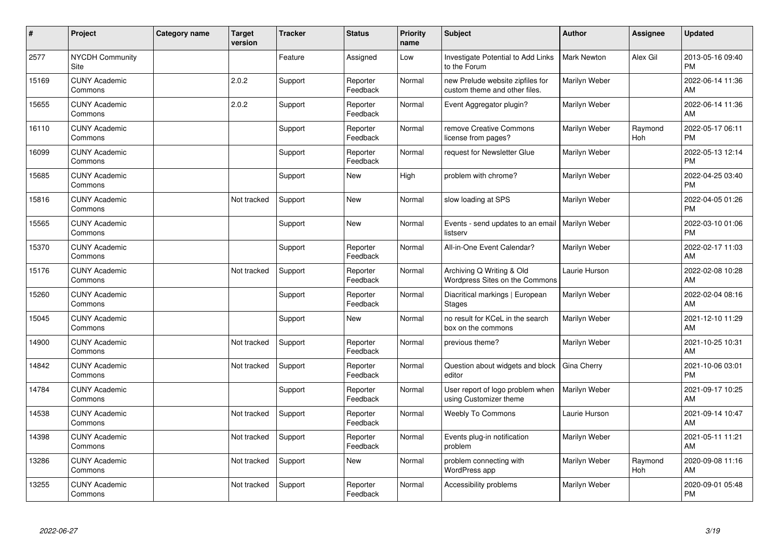| $\vert$ # | Project                         | <b>Category name</b> | <b>Target</b><br>version | <b>Tracker</b> | <b>Status</b>        | <b>Priority</b><br>name | <b>Subject</b>                                                    | Author             | <b>Assignee</b> | <b>Updated</b>                |
|-----------|---------------------------------|----------------------|--------------------------|----------------|----------------------|-------------------------|-------------------------------------------------------------------|--------------------|-----------------|-------------------------------|
| 2577      | <b>NYCDH Community</b><br>Site  |                      |                          | Feature        | Assigned             | Low                     | <b>Investigate Potential to Add Links</b><br>to the Forum         | <b>Mark Newton</b> | Alex Gil        | 2013-05-16 09:40<br><b>PM</b> |
| 15169     | <b>CUNY Academic</b><br>Commons |                      | 2.0.2                    | Support        | Reporter<br>Feedback | Normal                  | new Prelude website zipfiles for<br>custom theme and other files. | Marilyn Weber      |                 | 2022-06-14 11:36<br>AM        |
| 15655     | <b>CUNY Academic</b><br>Commons |                      | 2.0.2                    | Support        | Reporter<br>Feedback | Normal                  | Event Aggregator plugin?                                          | Marilyn Weber      |                 | 2022-06-14 11:36<br>AM        |
| 16110     | <b>CUNY Academic</b><br>Commons |                      |                          | Support        | Reporter<br>Feedback | Normal                  | remove Creative Commons<br>license from pages?                    | Marilyn Weber      | Raymond<br>Hoh  | 2022-05-17 06:11<br><b>PM</b> |
| 16099     | <b>CUNY Academic</b><br>Commons |                      |                          | Support        | Reporter<br>Feedback | Normal                  | request for Newsletter Glue                                       | Marilyn Weber      |                 | 2022-05-13 12:14<br><b>PM</b> |
| 15685     | <b>CUNY Academic</b><br>Commons |                      |                          | Support        | New                  | High                    | problem with chrome?                                              | Marilyn Weber      |                 | 2022-04-25 03:40<br><b>PM</b> |
| 15816     | <b>CUNY Academic</b><br>Commons |                      | Not tracked              | Support        | <b>New</b>           | Normal                  | slow loading at SPS                                               | Marilyn Weber      |                 | 2022-04-05 01:26<br><b>PM</b> |
| 15565     | <b>CUNY Academic</b><br>Commons |                      |                          | Support        | <b>New</b>           | Normal                  | Events - send updates to an email<br>listserv                     | Marilyn Weber      |                 | 2022-03-10 01:06<br><b>PM</b> |
| 15370     | <b>CUNY Academic</b><br>Commons |                      |                          | Support        | Reporter<br>Feedback | Normal                  | All-in-One Event Calendar?                                        | Marilyn Weber      |                 | 2022-02-17 11:03<br>AM        |
| 15176     | <b>CUNY Academic</b><br>Commons |                      | Not tracked              | Support        | Reporter<br>Feedback | Normal                  | Archiving Q Writing & Old<br>Wordpress Sites on the Commons       | Laurie Hurson      |                 | 2022-02-08 10:28<br>AM        |
| 15260     | <b>CUNY Academic</b><br>Commons |                      |                          | Support        | Reporter<br>Feedback | Normal                  | Diacritical markings   European<br><b>Stages</b>                  | Marilyn Weber      |                 | 2022-02-04 08:16<br>AM        |
| 15045     | <b>CUNY Academic</b><br>Commons |                      |                          | Support        | New                  | Normal                  | no result for KCeL in the search<br>box on the commons            | Marilyn Weber      |                 | 2021-12-10 11:29<br>AM        |
| 14900     | <b>CUNY Academic</b><br>Commons |                      | Not tracked              | Support        | Reporter<br>Feedback | Normal                  | previous theme?                                                   | Marilyn Weber      |                 | 2021-10-25 10:31<br>AM        |
| 14842     | <b>CUNY Academic</b><br>Commons |                      | Not tracked              | Support        | Reporter<br>Feedback | Normal                  | Question about widgets and block<br>editor                        | Gina Cherry        |                 | 2021-10-06 03:01<br><b>PM</b> |
| 14784     | <b>CUNY Academic</b><br>Commons |                      |                          | Support        | Reporter<br>Feedback | Normal                  | User report of logo problem when<br>using Customizer theme        | Marilyn Weber      |                 | 2021-09-17 10:25<br>AM        |
| 14538     | <b>CUNY Academic</b><br>Commons |                      | Not tracked              | Support        | Reporter<br>Feedback | Normal                  | <b>Weebly To Commons</b>                                          | Laurie Hurson      |                 | 2021-09-14 10:47<br>AM        |
| 14398     | <b>CUNY Academic</b><br>Commons |                      | Not tracked              | Support        | Reporter<br>Feedback | Normal                  | Events plug-in notification<br>problem                            | Marilyn Weber      |                 | 2021-05-11 11:21<br>AM        |
| 13286     | <b>CUNY Academic</b><br>Commons |                      | Not tracked              | Support        | New                  | Normal                  | problem connecting with<br>WordPress app                          | Marilyn Weber      | Raymond<br>Hoh  | 2020-09-08 11:16<br>AM        |
| 13255     | <b>CUNY Academic</b><br>Commons |                      | Not tracked              | Support        | Reporter<br>Feedback | Normal                  | Accessibility problems                                            | Marilyn Weber      |                 | 2020-09-01 05:48<br>PM        |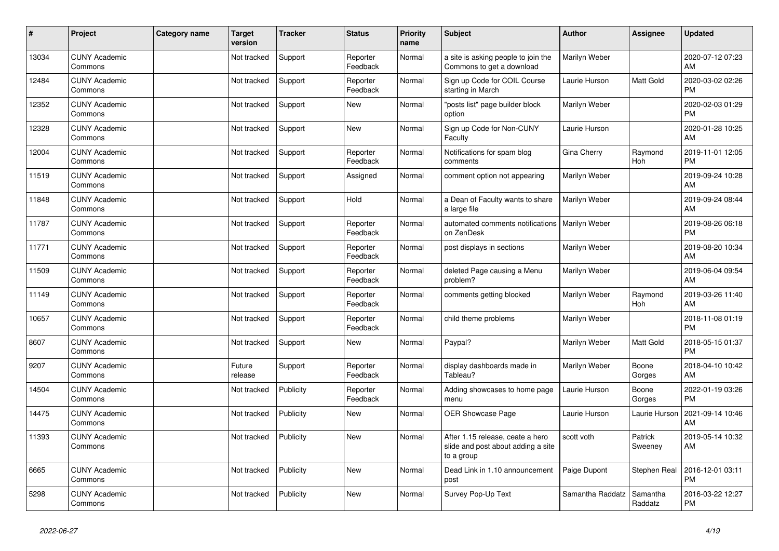| #     | Project                         | <b>Category name</b> | <b>Target</b><br>version | <b>Tracker</b> | <b>Status</b>        | Priority<br>name | <b>Subject</b>                                                                       | <b>Author</b>    | <b>Assignee</b>       | <b>Updated</b>                |
|-------|---------------------------------|----------------------|--------------------------|----------------|----------------------|------------------|--------------------------------------------------------------------------------------|------------------|-----------------------|-------------------------------|
| 13034 | <b>CUNY Academic</b><br>Commons |                      | Not tracked              | Support        | Reporter<br>Feedback | Normal           | a site is asking people to join the<br>Commons to get a download                     | Marilyn Weber    |                       | 2020-07-12 07:23<br>AM        |
| 12484 | <b>CUNY Academic</b><br>Commons |                      | Not tracked              | Support        | Reporter<br>Feedback | Normal           | Sign up Code for COIL Course<br>starting in March                                    | Laurie Hurson    | Matt Gold             | 2020-03-02 02:26<br><b>PM</b> |
| 12352 | <b>CUNY Academic</b><br>Commons |                      | Not tracked              | Support        | New                  | Normal           | "posts list" page builder block<br>option                                            | Marilyn Weber    |                       | 2020-02-03 01:29<br><b>PM</b> |
| 12328 | <b>CUNY Academic</b><br>Commons |                      | Not tracked              | Support        | <b>New</b>           | Normal           | Sign up Code for Non-CUNY<br>Faculty                                                 | Laurie Hurson    |                       | 2020-01-28 10:25<br>AM        |
| 12004 | <b>CUNY Academic</b><br>Commons |                      | Not tracked              | Support        | Reporter<br>Feedback | Normal           | Notifications for spam blog<br>comments                                              | Gina Cherry      | Raymond<br><b>Hoh</b> | 2019-11-01 12:05<br><b>PM</b> |
| 11519 | <b>CUNY Academic</b><br>Commons |                      | Not tracked              | Support        | Assigned             | Normal           | comment option not appearing                                                         | Marilyn Weber    |                       | 2019-09-24 10:28<br>AM        |
| 11848 | <b>CUNY Academic</b><br>Commons |                      | Not tracked              | Support        | Hold                 | Normal           | a Dean of Faculty wants to share<br>a large file                                     | Marilyn Weber    |                       | 2019-09-24 08:44<br>AM        |
| 11787 | <b>CUNY Academic</b><br>Commons |                      | Not tracked              | Support        | Reporter<br>Feedback | Normal           | automated comments notifications<br>on ZenDesk                                       | Marilyn Weber    |                       | 2019-08-26 06:18<br><b>PM</b> |
| 11771 | <b>CUNY Academic</b><br>Commons |                      | Not tracked              | Support        | Reporter<br>Feedback | Normal           | post displays in sections                                                            | Marilyn Weber    |                       | 2019-08-20 10:34<br>AM        |
| 11509 | <b>CUNY Academic</b><br>Commons |                      | Not tracked              | Support        | Reporter<br>Feedback | Normal           | deleted Page causing a Menu<br>problem?                                              | Marilyn Weber    |                       | 2019-06-04 09:54<br>AM        |
| 11149 | <b>CUNY Academic</b><br>Commons |                      | Not tracked              | Support        | Reporter<br>Feedback | Normal           | comments getting blocked                                                             | Marilyn Weber    | Raymond<br>Hoh        | 2019-03-26 11:40<br>AM        |
| 10657 | <b>CUNY Academic</b><br>Commons |                      | Not tracked              | Support        | Reporter<br>Feedback | Normal           | child theme problems                                                                 | Marilyn Weber    |                       | 2018-11-08 01:19<br><b>PM</b> |
| 8607  | <b>CUNY Academic</b><br>Commons |                      | Not tracked              | Support        | <b>New</b>           | Normal           | Paypal?                                                                              | Marilyn Weber    | Matt Gold             | 2018-05-15 01:37<br><b>PM</b> |
| 9207  | <b>CUNY Academic</b><br>Commons |                      | Future<br>release        | Support        | Reporter<br>Feedback | Normal           | display dashboards made in<br>Tableau?                                               | Marilyn Weber    | Boone<br>Gorges       | 2018-04-10 10:42<br>AM        |
| 14504 | <b>CUNY Academic</b><br>Commons |                      | Not tracked              | Publicity      | Reporter<br>Feedback | Normal           | Adding showcases to home page<br>menu                                                | Laurie Hurson    | Boone<br>Gorges       | 2022-01-19 03:26<br><b>PM</b> |
| 14475 | <b>CUNY Academic</b><br>Commons |                      | Not tracked              | Publicity      | New                  | Normal           | <b>OER Showcase Page</b>                                                             | Laurie Hurson    | Laurie Hurson         | 2021-09-14 10:46<br>AM        |
| 11393 | <b>CUNY Academic</b><br>Commons |                      | Not tracked              | Publicity      | <b>New</b>           | Normal           | After 1.15 release, ceate a hero<br>slide and post about adding a site<br>to a group | scott voth       | Patrick<br>Sweeney    | 2019-05-14 10:32<br>AM        |
| 6665  | <b>CUNY Academic</b><br>Commons |                      | Not tracked              | Publicity      | <b>New</b>           | Normal           | Dead Link in 1.10 announcement<br>post                                               | Paige Dupont     | <b>Stephen Real</b>   | 2016-12-01 03:11<br><b>PM</b> |
| 5298  | <b>CUNY Academic</b><br>Commons |                      | Not tracked              | Publicity      | <b>New</b>           | Normal           | Survey Pop-Up Text                                                                   | Samantha Raddatz | Samantha<br>Raddatz   | 2016-03-22 12:27<br><b>PM</b> |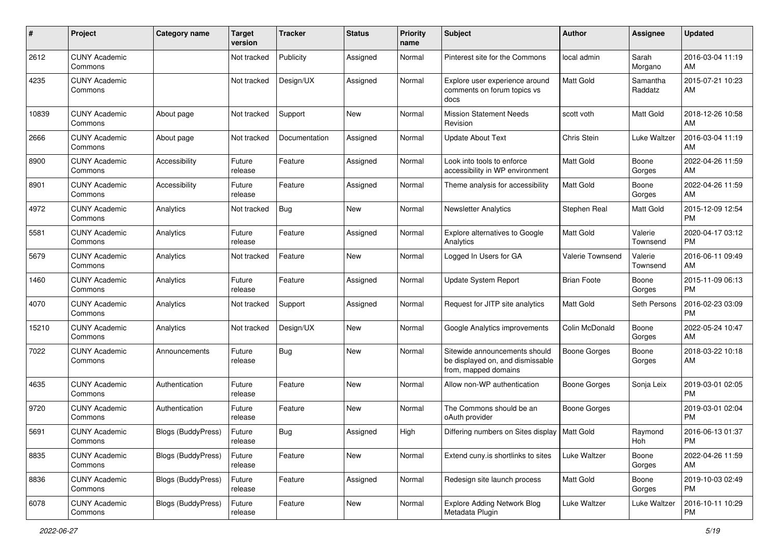| #     | Project                         | <b>Category name</b> | <b>Target</b><br>version | <b>Tracker</b> | <b>Status</b> | <b>Priority</b><br>name | Subject                                                                                   | Author              | Assignee            | <b>Updated</b>                |
|-------|---------------------------------|----------------------|--------------------------|----------------|---------------|-------------------------|-------------------------------------------------------------------------------------------|---------------------|---------------------|-------------------------------|
| 2612  | <b>CUNY Academic</b><br>Commons |                      | Not tracked              | Publicity      | Assigned      | Normal                  | Pinterest site for the Commons                                                            | local admin         | Sarah<br>Morgano    | 2016-03-04 11:19<br>AM        |
| 4235  | <b>CUNY Academic</b><br>Commons |                      | Not tracked              | Design/UX      | Assigned      | Normal                  | Explore user experience around<br>comments on forum topics vs<br>docs                     | Matt Gold           | Samantha<br>Raddatz | 2015-07-21 10:23<br>AM        |
| 10839 | <b>CUNY Academic</b><br>Commons | About page           | Not tracked              | Support        | <b>New</b>    | Normal                  | <b>Mission Statement Needs</b><br>Revision                                                | scott voth          | Matt Gold           | 2018-12-26 10:58<br>AM        |
| 2666  | <b>CUNY Academic</b><br>Commons | About page           | Not tracked              | Documentation  | Assigned      | Normal                  | <b>Update About Text</b>                                                                  | Chris Stein         | Luke Waltzer        | 2016-03-04 11:19<br>AM        |
| 8900  | <b>CUNY Academic</b><br>Commons | Accessibility        | Future<br>release        | Feature        | Assigned      | Normal                  | Look into tools to enforce<br>accessibility in WP environment                             | Matt Gold           | Boone<br>Gorges     | 2022-04-26 11:59<br>AM        |
| 8901  | <b>CUNY Academic</b><br>Commons | Accessibility        | Future<br>release        | Feature        | Assigned      | Normal                  | Theme analysis for accessibility                                                          | <b>Matt Gold</b>    | Boone<br>Gorges     | 2022-04-26 11:59<br>AM        |
| 4972  | <b>CUNY Academic</b><br>Commons | Analytics            | Not tracked              | Bug            | <b>New</b>    | Normal                  | <b>Newsletter Analytics</b>                                                               | Stephen Real        | Matt Gold           | 2015-12-09 12:54<br><b>PM</b> |
| 5581  | <b>CUNY Academic</b><br>Commons | Analytics            | Future<br>release        | Feature        | Assigned      | Normal                  | Explore alternatives to Google<br>Analytics                                               | Matt Gold           | Valerie<br>Townsend | 2020-04-17 03:12<br>PM        |
| 5679  | <b>CUNY Academic</b><br>Commons | Analytics            | Not tracked              | Feature        | <b>New</b>    | Normal                  | Logged In Users for GA                                                                    | Valerie Townsend    | Valerie<br>Townsend | 2016-06-11 09:49<br>AM        |
| 1460  | <b>CUNY Academic</b><br>Commons | Analytics            | Future<br>release        | Feature        | Assigned      | Normal                  | Update System Report                                                                      | <b>Brian Foote</b>  | Boone<br>Gorges     | 2015-11-09 06:13<br><b>PM</b> |
| 4070  | <b>CUNY Academic</b><br>Commons | Analytics            | Not tracked              | Support        | Assigned      | Normal                  | Request for JITP site analytics                                                           | Matt Gold           | Seth Persons        | 2016-02-23 03:09<br><b>PM</b> |
| 15210 | <b>CUNY Academic</b><br>Commons | Analytics            | Not tracked              | Design/UX      | <b>New</b>    | Normal                  | Google Analytics improvements                                                             | Colin McDonald      | Boone<br>Gorges     | 2022-05-24 10:47<br>AM        |
| 7022  | <b>CUNY Academic</b><br>Commons | Announcements        | Future<br>release        | <b>Bug</b>     | <b>New</b>    | Normal                  | Sitewide announcements should<br>be displayed on, and dismissable<br>from, mapped domains | <b>Boone Gorges</b> | Boone<br>Gorges     | 2018-03-22 10:18<br>AM        |
| 4635  | <b>CUNY Academic</b><br>Commons | Authentication       | Future<br>release        | Feature        | <b>New</b>    | Normal                  | Allow non-WP authentication                                                               | <b>Boone Gorges</b> | Sonja Leix          | 2019-03-01 02:05<br><b>PM</b> |
| 9720  | <b>CUNY Academic</b><br>Commons | Authentication       | Future<br>release        | Feature        | <b>New</b>    | Normal                  | The Commons should be an<br>oAuth provider                                                | <b>Boone Gorges</b> |                     | 2019-03-01 02:04<br><b>PM</b> |
| 5691  | <b>CUNY Academic</b><br>Commons | Blogs (BuddyPress)   | Future<br>release        | Bug            | Assigned      | High                    | Differing numbers on Sites display                                                        | Matt Gold           | Raymond<br>Hoh      | 2016-06-13 01:37<br>PM        |
| 8835  | <b>CUNY Academic</b><br>Commons | Blogs (BuddyPress)   | Future<br>release        | Feature        | New           | Normal                  | Extend cuny is shortlinks to sites                                                        | Luke Waltzer        | Boone<br>Gorges     | 2022-04-26 11:59<br>AM        |
| 8836  | <b>CUNY Academic</b><br>Commons | Blogs (BuddyPress)   | Future<br>release        | Feature        | Assigned      | Normal                  | Redesign site launch process                                                              | Matt Gold           | Boone<br>Gorges     | 2019-10-03 02:49<br><b>PM</b> |
| 6078  | <b>CUNY Academic</b><br>Commons | Blogs (BuddyPress)   | Future<br>release        | Feature        | New           | Normal                  | <b>Explore Adding Network Blog</b><br>Metadata Plugin                                     | Luke Waltzer        | Luke Waltzer        | 2016-10-11 10:29<br>PM        |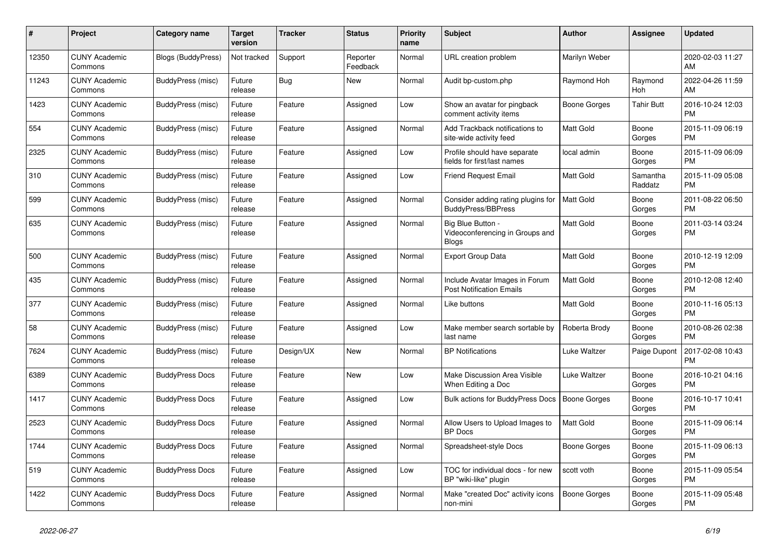| #     | Project                         | <b>Category name</b>   | <b>Target</b><br>version | <b>Tracker</b> | <b>Status</b>        | <b>Priority</b><br>name | <b>Subject</b>                                                       | <b>Author</b>       | <b>Assignee</b>     | <b>Updated</b>                |
|-------|---------------------------------|------------------------|--------------------------|----------------|----------------------|-------------------------|----------------------------------------------------------------------|---------------------|---------------------|-------------------------------|
| 12350 | <b>CUNY Academic</b><br>Commons | Blogs (BuddyPress)     | Not tracked              | Support        | Reporter<br>Feedback | Normal                  | URL creation problem                                                 | Marilyn Weber       |                     | 2020-02-03 11:27<br>AM        |
| 11243 | <b>CUNY Academic</b><br>Commons | BuddyPress (misc)      | Future<br>release        | <b>Bug</b>     | <b>New</b>           | Normal                  | Audit bp-custom.php                                                  | Raymond Hoh         | Raymond<br>Hoh      | 2022-04-26 11:59<br>AM        |
| 1423  | <b>CUNY Academic</b><br>Commons | BuddyPress (misc)      | Future<br>release        | Feature        | Assigned             | Low                     | Show an avatar for pingback<br>comment activity items                | Boone Gorges        | <b>Tahir Butt</b>   | 2016-10-24 12:03<br><b>PM</b> |
| 554   | <b>CUNY Academic</b><br>Commons | BuddyPress (misc)      | Future<br>release        | Feature        | Assigned             | Normal                  | Add Trackback notifications to<br>site-wide activity feed            | <b>Matt Gold</b>    | Boone<br>Gorges     | 2015-11-09 06:19<br><b>PM</b> |
| 2325  | <b>CUNY Academic</b><br>Commons | BuddyPress (misc)      | Future<br>release        | Feature        | Assigned             | Low                     | Profile should have separate<br>fields for first/last names          | local admin         | Boone<br>Gorges     | 2015-11-09 06:09<br><b>PM</b> |
| 310   | <b>CUNY Academic</b><br>Commons | BuddyPress (misc)      | Future<br>release        | Feature        | Assigned             | Low                     | <b>Friend Request Email</b>                                          | <b>Matt Gold</b>    | Samantha<br>Raddatz | 2015-11-09 05:08<br><b>PM</b> |
| 599   | <b>CUNY Academic</b><br>Commons | BuddyPress (misc)      | Future<br>release        | Feature        | Assigned             | Normal                  | Consider adding rating plugins for<br><b>BuddyPress/BBPress</b>      | <b>Matt Gold</b>    | Boone<br>Gorges     | 2011-08-22 06:50<br><b>PM</b> |
| 635   | <b>CUNY Academic</b><br>Commons | BuddyPress (misc)      | Future<br>release        | Feature        | Assigned             | Normal                  | Big Blue Button -<br>Videoconferencing in Groups and<br><b>Blogs</b> | <b>Matt Gold</b>    | Boone<br>Gorges     | 2011-03-14 03:24<br>PM        |
| 500   | <b>CUNY Academic</b><br>Commons | BuddyPress (misc)      | Future<br>release        | Feature        | Assigned             | Normal                  | <b>Export Group Data</b>                                             | Matt Gold           | Boone<br>Gorges     | 2010-12-19 12:09<br><b>PM</b> |
| 435   | <b>CUNY Academic</b><br>Commons | BuddyPress (misc)      | Future<br>release        | Feature        | Assigned             | Normal                  | Include Avatar Images in Forum<br>Post Notification Emails           | <b>Matt Gold</b>    | Boone<br>Gorges     | 2010-12-08 12:40<br><b>PM</b> |
| 377   | <b>CUNY Academic</b><br>Commons | BuddyPress (misc)      | Future<br>release        | Feature        | Assigned             | Normal                  | Like buttons                                                         | Matt Gold           | Boone<br>Gorges     | 2010-11-16 05:13<br><b>PM</b> |
| 58    | <b>CUNY Academic</b><br>Commons | BuddyPress (misc)      | Future<br>release        | Feature        | Assigned             | Low                     | Make member search sortable by<br>last name                          | Roberta Brody       | Boone<br>Gorges     | 2010-08-26 02:38<br><b>PM</b> |
| 7624  | <b>CUNY Academic</b><br>Commons | BuddyPress (misc)      | Future<br>release        | Design/UX      | <b>New</b>           | Normal                  | <b>BP</b> Notifications                                              | Luke Waltzer        | Paige Dupont        | 2017-02-08 10:43<br><b>PM</b> |
| 6389  | <b>CUNY Academic</b><br>Commons | <b>BuddyPress Docs</b> | Future<br>release        | Feature        | <b>New</b>           | Low                     | Make Discussion Area Visible<br>When Editing a Doc                   | Luke Waltzer        | Boone<br>Gorges     | 2016-10-21 04:16<br><b>PM</b> |
| 1417  | <b>CUNY Academic</b><br>Commons | <b>BuddyPress Docs</b> | Future<br>release        | Feature        | Assigned             | Low                     | Bulk actions for BuddyPress Docs                                     | <b>Boone Gorges</b> | Boone<br>Gorges     | 2016-10-17 10:41<br><b>PM</b> |
| 2523  | <b>CUNY Academic</b><br>Commons | <b>BuddyPress Docs</b> | Future<br>release        | Feature        | Assigned             | Normal                  | Allow Users to Upload Images to<br><b>BP</b> Docs                    | <b>Matt Gold</b>    | Boone<br>Gorges     | 2015-11-09 06:14<br><b>PM</b> |
| 1744  | <b>CUNY Academic</b><br>Commons | <b>BuddyPress Docs</b> | Future<br>release        | Feature        | Assigned             | Normal                  | Spreadsheet-style Docs                                               | Boone Gorges        | Boone<br>Gorges     | 2015-11-09 06:13<br><b>PM</b> |
| 519   | <b>CUNY Academic</b><br>Commons | <b>BuddyPress Docs</b> | Future<br>release        | Feature        | Assigned             | Low                     | TOC for individual docs - for new<br>BP "wiki-like" plugin           | scott voth          | Boone<br>Gorges     | 2015-11-09 05:54<br><b>PM</b> |
| 1422  | <b>CUNY Academic</b><br>Commons | <b>BuddyPress Docs</b> | Future<br>release        | Feature        | Assigned             | Normal                  | Make "created Doc" activity icons<br>non-mini                        | Boone Gorges        | Boone<br>Gorges     | 2015-11-09 05:48<br><b>PM</b> |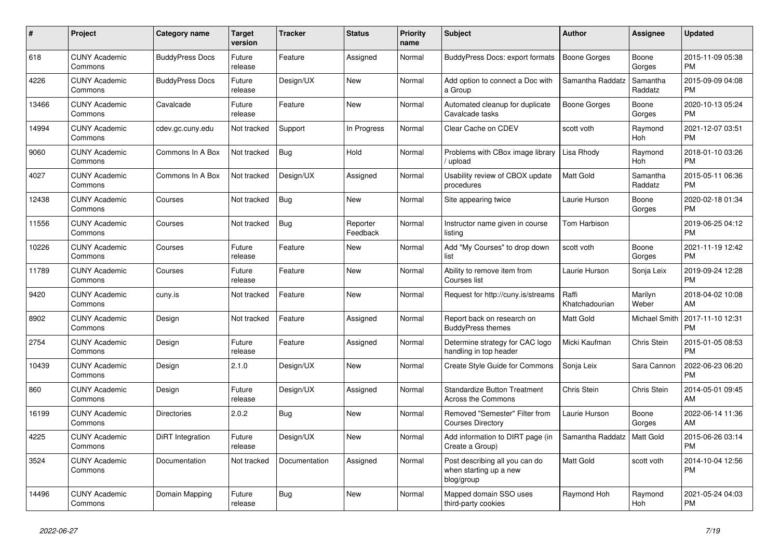| $\pmb{\#}$ | Project                         | Category name          | <b>Target</b><br>version | <b>Tracker</b> | <b>Status</b>        | <b>Priority</b><br>name | <b>Subject</b>                                                         | <b>Author</b>           | <b>Assignee</b>     | <b>Updated</b>                |
|------------|---------------------------------|------------------------|--------------------------|----------------|----------------------|-------------------------|------------------------------------------------------------------------|-------------------------|---------------------|-------------------------------|
| 618        | <b>CUNY Academic</b><br>Commons | <b>BuddyPress Docs</b> | Future<br>release        | Feature        | Assigned             | Normal                  | BuddyPress Docs: export formats                                        | <b>Boone Gorges</b>     | Boone<br>Gorges     | 2015-11-09 05:38<br><b>PM</b> |
| 4226       | <b>CUNY Academic</b><br>Commons | <b>BuddyPress Docs</b> | Future<br>release        | Design/UX      | <b>New</b>           | Normal                  | Add option to connect a Doc with<br>a Group                            | Samantha Raddatz        | Samantha<br>Raddatz | 2015-09-09 04:08<br><b>PM</b> |
| 13466      | <b>CUNY Academic</b><br>Commons | Cavalcade              | Future<br>release        | Feature        | <b>New</b>           | Normal                  | Automated cleanup for duplicate<br>Cavalcade tasks                     | Boone Gorges            | Boone<br>Gorges     | 2020-10-13 05:24<br><b>PM</b> |
| 14994      | <b>CUNY Academic</b><br>Commons | cdev.gc.cuny.edu       | Not tracked              | Support        | In Progress          | Normal                  | Clear Cache on CDEV                                                    | scott voth              | Raymond<br>Hoh      | 2021-12-07 03:51<br><b>PM</b> |
| 9060       | <b>CUNY Academic</b><br>Commons | Commons In A Box       | Not tracked              | Bug            | Hold                 | Normal                  | Problems with CBox image library<br>upload                             | Lisa Rhody              | Raymond<br>Hoh      | 2018-01-10 03:26<br><b>PM</b> |
| 4027       | <b>CUNY Academic</b><br>Commons | Commons In A Box       | Not tracked              | Design/UX      | Assigned             | Normal                  | Usability review of CBOX update<br>procedures                          | Matt Gold               | Samantha<br>Raddatz | 2015-05-11 06:36<br><b>PM</b> |
| 12438      | <b>CUNY Academic</b><br>Commons | Courses                | Not tracked              | Bug            | <b>New</b>           | Normal                  | Site appearing twice                                                   | Laurie Hurson           | Boone<br>Gorges     | 2020-02-18 01:34<br><b>PM</b> |
| 11556      | <b>CUNY Academic</b><br>Commons | Courses                | Not tracked              | <b>Bug</b>     | Reporter<br>Feedback | Normal                  | Instructor name given in course<br>listing                             | Tom Harbison            |                     | 2019-06-25 04:12<br><b>PM</b> |
| 10226      | <b>CUNY Academic</b><br>Commons | Courses                | Future<br>release        | Feature        | <b>New</b>           | Normal                  | Add "My Courses" to drop down<br>list                                  | scott voth              | Boone<br>Gorges     | 2021-11-19 12:42<br><b>PM</b> |
| 11789      | <b>CUNY Academic</b><br>Commons | Courses                | Future<br>release        | Feature        | <b>New</b>           | Normal                  | Ability to remove item from<br>Courses list                            | Laurie Hurson           | Sonja Leix          | 2019-09-24 12:28<br><b>PM</b> |
| 9420       | <b>CUNY Academic</b><br>Commons | cuny.is                | Not tracked              | Feature        | <b>New</b>           | Normal                  | Request for http://cuny.is/streams                                     | Raffi<br>Khatchadourian | Marilyn<br>Weber    | 2018-04-02 10:08<br>AM        |
| 8902       | <b>CUNY Academic</b><br>Commons | Design                 | Not tracked              | Feature        | Assigned             | Normal                  | Report back on research on<br><b>BuddyPress themes</b>                 | Matt Gold               | Michael Smith       | 2017-11-10 12:31<br><b>PM</b> |
| 2754       | <b>CUNY Academic</b><br>Commons | Design                 | Future<br>release        | Feature        | Assigned             | Normal                  | Determine strategy for CAC logo<br>handling in top header              | Micki Kaufman           | Chris Stein         | 2015-01-05 08:53<br><b>PM</b> |
| 10439      | <b>CUNY Academic</b><br>Commons | Design                 | 2.1.0                    | Design/UX      | <b>New</b>           | Normal                  | <b>Create Style Guide for Commons</b>                                  | Sonja Leix              | Sara Cannon         | 2022-06-23 06:20<br><b>PM</b> |
| 860        | <b>CUNY Academic</b><br>Commons | Design                 | Future<br>release        | Design/UX      | Assigned             | Normal                  | <b>Standardize Button Treatment</b><br>Across the Commons              | <b>Chris Stein</b>      | Chris Stein         | 2014-05-01 09:45<br>AM        |
| 16199      | <b>CUNY Academic</b><br>Commons | <b>Directories</b>     | 2.0.2                    | <b>Bug</b>     | <b>New</b>           | Normal                  | Removed "Semester" Filter from<br><b>Courses Directory</b>             | Laurie Hurson           | Boone<br>Gorges     | 2022-06-14 11:36<br>AM        |
| 4225       | <b>CUNY Academic</b><br>Commons | DiRT Integration       | Future<br>release        | Design/UX      | <b>New</b>           | Normal                  | Add information to DIRT page (in<br>Create a Group)                    | Samantha Raddatz        | <b>Matt Gold</b>    | 2015-06-26 03:14<br><b>PM</b> |
| 3524       | <b>CUNY Academic</b><br>Commons | Documentation          | Not tracked              | Documentation  | Assigned             | Normal                  | Post describing all you can do<br>when starting up a new<br>blog/group | Matt Gold               | scott voth          | 2014-10-04 12:56<br><b>PM</b> |
| 14496      | <b>CUNY Academic</b><br>Commons | Domain Mapping         | Future<br>release        | <b>Bug</b>     | <b>New</b>           | Normal                  | Mapped domain SSO uses<br>third-party cookies                          | Raymond Hoh             | Raymond<br>Hoh      | 2021-05-24 04:03<br><b>PM</b> |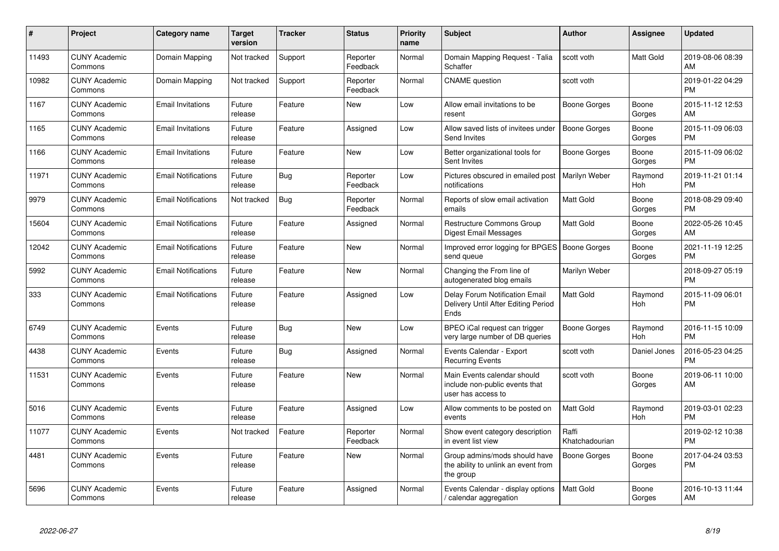| $\#$  | Project                         | <b>Category name</b>       | <b>Target</b><br>version | <b>Tracker</b> | <b>Status</b>        | <b>Priority</b><br>name | <b>Subject</b>                                                                      | <b>Author</b>           | <b>Assignee</b>       | <b>Updated</b>                |
|-------|---------------------------------|----------------------------|--------------------------|----------------|----------------------|-------------------------|-------------------------------------------------------------------------------------|-------------------------|-----------------------|-------------------------------|
| 11493 | <b>CUNY Academic</b><br>Commons | Domain Mapping             | Not tracked              | Support        | Reporter<br>Feedback | Normal                  | Domain Mapping Request - Talia<br>Schaffer                                          | scott voth              | <b>Matt Gold</b>      | 2019-08-06 08:39<br>AM        |
| 10982 | <b>CUNY Academic</b><br>Commons | Domain Mapping             | Not tracked              | Support        | Reporter<br>Feedback | Normal                  | <b>CNAME</b> question                                                               | scott voth              |                       | 2019-01-22 04:29<br><b>PM</b> |
| 1167  | <b>CUNY Academic</b><br>Commons | <b>Email Invitations</b>   | Future<br>release        | Feature        | New                  | Low                     | Allow email invitations to be<br>resent                                             | Boone Gorges            | Boone<br>Gorges       | 2015-11-12 12:53<br>AM        |
| 1165  | <b>CUNY Academic</b><br>Commons | <b>Email Invitations</b>   | Future<br>release        | Feature        | Assigned             | Low                     | Allow saved lists of invitees under<br>Send Invites                                 | Boone Gorges            | Boone<br>Gorges       | 2015-11-09 06:03<br><b>PM</b> |
| 1166  | <b>CUNY Academic</b><br>Commons | <b>Email Invitations</b>   | Future<br>release        | Feature        | <b>New</b>           | Low                     | Better organizational tools for<br>Sent Invites                                     | Boone Gorges            | Boone<br>Gorges       | 2015-11-09 06:02<br><b>PM</b> |
| 11971 | <b>CUNY Academic</b><br>Commons | <b>Email Notifications</b> | Future<br>release        | <b>Bug</b>     | Reporter<br>Feedback | Low                     | Pictures obscured in emailed post<br>notifications                                  | Marilyn Weber           | Raymond<br>Hoh        | 2019-11-21 01:14<br><b>PM</b> |
| 9979  | <b>CUNY Academic</b><br>Commons | <b>Email Notifications</b> | Not tracked              | <b>Bug</b>     | Reporter<br>Feedback | Normal                  | Reports of slow email activation<br>emails                                          | <b>Matt Gold</b>        | Boone<br>Gorges       | 2018-08-29 09:40<br><b>PM</b> |
| 15604 | <b>CUNY Academic</b><br>Commons | <b>Email Notifications</b> | Future<br>release        | Feature        | Assigned             | Normal                  | Restructure Commons Group<br>Digest Email Messages                                  | <b>Matt Gold</b>        | Boone<br>Gorges       | 2022-05-26 10:45<br>AM        |
| 12042 | <b>CUNY Academic</b><br>Commons | <b>Email Notifications</b> | Future<br>release        | Feature        | <b>New</b>           | Normal                  | Improved error logging for BPGES   Boone Gorges<br>send queue                       |                         | Boone<br>Gorges       | 2021-11-19 12:25<br><b>PM</b> |
| 5992  | <b>CUNY Academic</b><br>Commons | <b>Email Notifications</b> | Future<br>release        | Feature        | <b>New</b>           | Normal                  | Changing the From line of<br>autogenerated blog emails                              | Marilyn Weber           |                       | 2018-09-27 05:19<br><b>PM</b> |
| 333   | <b>CUNY Academic</b><br>Commons | <b>Email Notifications</b> | Future<br>release        | Feature        | Assigned             | Low                     | Delay Forum Notification Email<br>Delivery Until After Editing Period<br>Ends       | Matt Gold               | Raymond<br><b>Hoh</b> | 2015-11-09 06:01<br><b>PM</b> |
| 6749  | <b>CUNY Academic</b><br>Commons | Events                     | Future<br>release        | Bug            | <b>New</b>           | Low                     | BPEO iCal request can trigger<br>very large number of DB queries                    | Boone Gorges            | Raymond<br><b>Hoh</b> | 2016-11-15 10:09<br><b>PM</b> |
| 4438  | <b>CUNY Academic</b><br>Commons | Events                     | Future<br>release        | <b>Bug</b>     | Assigned             | Normal                  | Events Calendar - Export<br><b>Recurring Events</b>                                 | scott voth              | Daniel Jones          | 2016-05-23 04:25<br><b>PM</b> |
| 11531 | <b>CUNY Academic</b><br>Commons | Events                     | Future<br>release        | Feature        | <b>New</b>           | Normal                  | Main Events calendar should<br>include non-public events that<br>user has access to | scott voth              | Boone<br>Gorges       | 2019-06-11 10:00<br>AM        |
| 5016  | <b>CUNY Academic</b><br>Commons | Events                     | Future<br>release        | Feature        | Assigned             | Low                     | Allow comments to be posted on<br>events                                            | <b>Matt Gold</b>        | Raymond<br>Hoh        | 2019-03-01 02:23<br><b>PM</b> |
| 11077 | <b>CUNY Academic</b><br>Commons | Events                     | Not tracked              | Feature        | Reporter<br>Feedback | Normal                  | Show event category description<br>in event list view                               | Raffi<br>Khatchadourian |                       | 2019-02-12 10:38<br><b>PM</b> |
| 4481  | <b>CUNY Academic</b><br>Commons | Events                     | Future<br>release        | Feature        | <b>New</b>           | Normal                  | Group admins/mods should have<br>the ability to unlink an event from<br>the group   | <b>Boone Gorges</b>     | Boone<br>Gorges       | 2017-04-24 03:53<br><b>PM</b> |
| 5696  | <b>CUNY Academic</b><br>Commons | Events                     | Future<br>release        | Feature        | Assigned             | Normal                  | Events Calendar - display options<br>calendar aggregation /                         | <b>Matt Gold</b>        | Boone<br>Gorges       | 2016-10-13 11:44<br>AM        |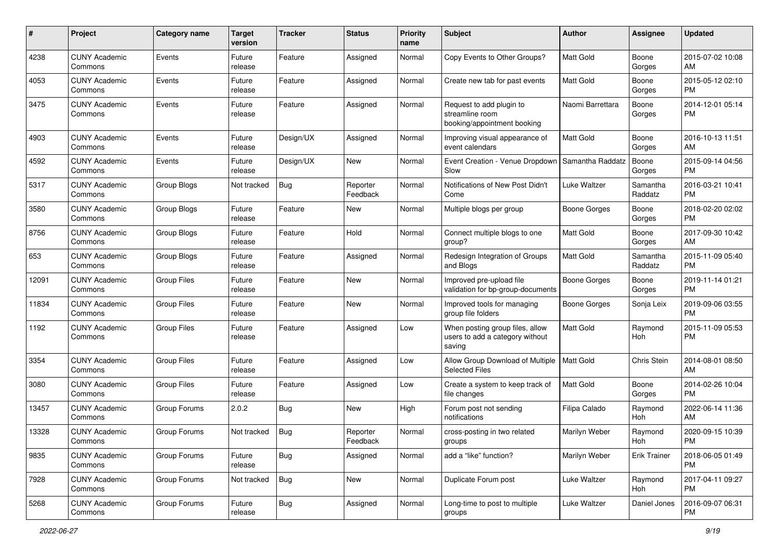| #     | Project                         | <b>Category name</b> | <b>Target</b><br>version | <b>Tracker</b> | <b>Status</b>        | <b>Priority</b><br>name | <b>Subject</b>                                                               | Author              | Assignee            | <b>Updated</b>                |
|-------|---------------------------------|----------------------|--------------------------|----------------|----------------------|-------------------------|------------------------------------------------------------------------------|---------------------|---------------------|-------------------------------|
| 4238  | <b>CUNY Academic</b><br>Commons | Events               | Future<br>release        | Feature        | Assigned             | Normal                  | Copy Events to Other Groups?                                                 | <b>Matt Gold</b>    | Boone<br>Gorges     | 2015-07-02 10:08<br>AM        |
| 4053  | <b>CUNY Academic</b><br>Commons | Events               | Future<br>release        | Feature        | Assigned             | Normal                  | Create new tab for past events                                               | <b>Matt Gold</b>    | Boone<br>Gorges     | 2015-05-12 02:10<br><b>PM</b> |
| 3475  | <b>CUNY Academic</b><br>Commons | Events               | Future<br>release        | Feature        | Assigned             | Normal                  | Request to add plugin to<br>streamline room<br>booking/appointment booking   | Naomi Barrettara    | Boone<br>Gorges     | 2014-12-01 05:14<br><b>PM</b> |
| 4903  | <b>CUNY Academic</b><br>Commons | Events               | Future<br>release        | Design/UX      | Assigned             | Normal                  | Improving visual appearance of<br>event calendars                            | <b>Matt Gold</b>    | Boone<br>Gorges     | 2016-10-13 11:51<br>AM        |
| 4592  | <b>CUNY Academic</b><br>Commons | Events               | Future<br>release        | Design/UX      | New                  | Normal                  | Event Creation - Venue Dropdown<br>Slow                                      | Samantha Raddatz    | Boone<br>Gorges     | 2015-09-14 04:56<br><b>PM</b> |
| 5317  | <b>CUNY Academic</b><br>Commons | Group Blogs          | Not tracked              | Bug            | Reporter<br>Feedback | Normal                  | Notifications of New Post Didn't<br>Come                                     | Luke Waltzer        | Samantha<br>Raddatz | 2016-03-21 10:41<br><b>PM</b> |
| 3580  | <b>CUNY Academic</b><br>Commons | Group Blogs          | Future<br>release        | Feature        | New                  | Normal                  | Multiple blogs per group                                                     | <b>Boone Gorges</b> | Boone<br>Gorges     | 2018-02-20 02:02<br><b>PM</b> |
| 8756  | <b>CUNY Academic</b><br>Commons | Group Blogs          | Future<br>release        | Feature        | Hold                 | Normal                  | Connect multiple blogs to one<br>group?                                      | Matt Gold           | Boone<br>Gorges     | 2017-09-30 10:42<br>AM        |
| 653   | <b>CUNY Academic</b><br>Commons | Group Blogs          | Future<br>release        | Feature        | Assigned             | Normal                  | Redesign Integration of Groups<br>and Blogs                                  | <b>Matt Gold</b>    | Samantha<br>Raddatz | 2015-11-09 05:40<br><b>PM</b> |
| 12091 | <b>CUNY Academic</b><br>Commons | <b>Group Files</b>   | Future<br>release        | Feature        | <b>New</b>           | Normal                  | Improved pre-upload file<br>validation for bp-group-documents                | <b>Boone Gorges</b> | Boone<br>Gorges     | 2019-11-14 01:21<br><b>PM</b> |
| 11834 | <b>CUNY Academic</b><br>Commons | <b>Group Files</b>   | Future<br>release        | Feature        | New                  | Normal                  | Improved tools for managing<br>group file folders                            | <b>Boone Gorges</b> | Sonja Leix          | 2019-09-06 03:55<br><b>PM</b> |
| 1192  | <b>CUNY Academic</b><br>Commons | <b>Group Files</b>   | Future<br>release        | Feature        | Assigned             | Low                     | When posting group files, allow<br>users to add a category without<br>saving | Matt Gold           | Raymond<br>Hoh      | 2015-11-09 05:53<br><b>PM</b> |
| 3354  | <b>CUNY Academic</b><br>Commons | <b>Group Files</b>   | Future<br>release        | Feature        | Assigned             | Low                     | Allow Group Download of Multiple<br><b>Selected Files</b>                    | Matt Gold           | Chris Stein         | 2014-08-01 08:50<br>AM        |
| 3080  | <b>CUNY Academic</b><br>Commons | <b>Group Files</b>   | Future<br>release        | Feature        | Assigned             | Low                     | Create a system to keep track of<br>file changes                             | <b>Matt Gold</b>    | Boone<br>Gorges     | 2014-02-26 10:04<br><b>PM</b> |
| 13457 | <b>CUNY Academic</b><br>Commons | Group Forums         | 2.0.2                    | Bug            | <b>New</b>           | High                    | Forum post not sending<br>notifications                                      | Filipa Calado       | Raymond<br>Hoh      | 2022-06-14 11:36<br>AM        |
| 13328 | <b>CUNY Academic</b><br>Commons | Group Forums         | Not tracked              | <b>Bug</b>     | Reporter<br>Feedback | Normal                  | cross-posting in two related<br>groups                                       | Marilyn Weber       | Raymond<br>Hoh      | 2020-09-15 10:39<br>PM        |
| 9835  | <b>CUNY Academic</b><br>Commons | Group Forums         | Future<br>release        | <b>Bug</b>     | Assigned             | Normal                  | add a "like" function?                                                       | Marilyn Weber       | <b>Erik Trainer</b> | 2018-06-05 01:49<br>PM        |
| 7928  | <b>CUNY Academic</b><br>Commons | Group Forums         | Not tracked              | <b>Bug</b>     | New                  | Normal                  | Duplicate Forum post                                                         | Luke Waltzer        | Raymond<br>Hoh      | 2017-04-11 09:27<br>PM        |
| 5268  | <b>CUNY Academic</b><br>Commons | Group Forums         | Future<br>release        | <b>Bug</b>     | Assigned             | Normal                  | Long-time to post to multiple<br>groups                                      | Luke Waltzer        | Daniel Jones        | 2016-09-07 06:31<br>PM        |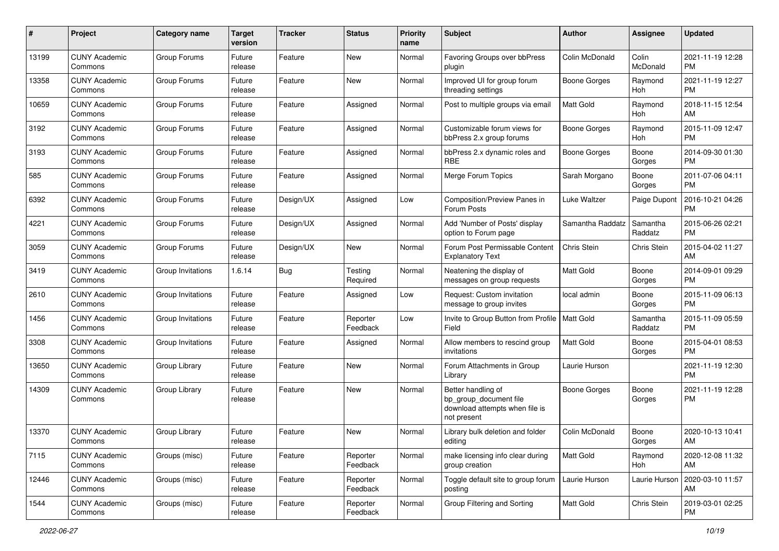| #     | Project                         | <b>Category name</b> | <b>Target</b><br>version | <b>Tracker</b> | <b>Status</b>        | <b>Priority</b><br>name | Subject                                                                                       | Author              | <b>Assignee</b>     | <b>Updated</b>                |
|-------|---------------------------------|----------------------|--------------------------|----------------|----------------------|-------------------------|-----------------------------------------------------------------------------------------------|---------------------|---------------------|-------------------------------|
| 13199 | <b>CUNY Academic</b><br>Commons | Group Forums         | Future<br>release        | Feature        | New                  | Normal                  | Favoring Groups over bbPress<br>plugin                                                        | Colin McDonald      | Colin<br>McDonald   | 2021-11-19 12:28<br>PM        |
| 13358 | <b>CUNY Academic</b><br>Commons | Group Forums         | Future<br>release        | Feature        | New                  | Normal                  | Improved UI for group forum<br>threading settings                                             | Boone Gorges        | Raymond<br>Hoh      | 2021-11-19 12:27<br><b>PM</b> |
| 10659 | <b>CUNY Academic</b><br>Commons | Group Forums         | Future<br>release        | Feature        | Assigned             | Normal                  | Post to multiple groups via email                                                             | Matt Gold           | Raymond<br>Hoh      | 2018-11-15 12:54<br>AM        |
| 3192  | <b>CUNY Academic</b><br>Commons | Group Forums         | Future<br>release        | Feature        | Assigned             | Normal                  | Customizable forum views for<br>bbPress 2.x group forums                                      | <b>Boone Gorges</b> | Raymond<br>Hoh      | 2015-11-09 12:47<br><b>PM</b> |
| 3193  | <b>CUNY Academic</b><br>Commons | Group Forums         | Future<br>release        | Feature        | Assigned             | Normal                  | bbPress 2.x dynamic roles and<br><b>RBE</b>                                                   | <b>Boone Gorges</b> | Boone<br>Gorges     | 2014-09-30 01:30<br><b>PM</b> |
| 585   | <b>CUNY Academic</b><br>Commons | Group Forums         | Future<br>release        | Feature        | Assigned             | Normal                  | Merge Forum Topics                                                                            | Sarah Morgano       | Boone<br>Gorges     | 2011-07-06 04:11<br>PM        |
| 6392  | <b>CUNY Academic</b><br>Commons | Group Forums         | Future<br>release        | Design/UX      | Assigned             | Low                     | Composition/Preview Panes in<br>Forum Posts                                                   | Luke Waltzer        | Paige Dupont        | 2016-10-21 04:26<br><b>PM</b> |
| 4221  | <b>CUNY Academic</b><br>Commons | Group Forums         | Future<br>release        | Design/UX      | Assigned             | Normal                  | Add 'Number of Posts' display<br>option to Forum page                                         | Samantha Raddatz    | Samantha<br>Raddatz | 2015-06-26 02:21<br><b>PM</b> |
| 3059  | <b>CUNY Academic</b><br>Commons | Group Forums         | Future<br>release        | Design/UX      | New                  | Normal                  | Forum Post Permissable Content<br><b>Explanatory Text</b>                                     | Chris Stein         | Chris Stein         | 2015-04-02 11:27<br>AM        |
| 3419  | <b>CUNY Academic</b><br>Commons | Group Invitations    | 1.6.14                   | Bug            | Testing<br>Required  | Normal                  | Neatening the display of<br>messages on group requests                                        | <b>Matt Gold</b>    | Boone<br>Gorges     | 2014-09-01 09:29<br><b>PM</b> |
| 2610  | <b>CUNY Academic</b><br>Commons | Group Invitations    | Future<br>release        | Feature        | Assigned             | Low                     | Request: Custom invitation<br>message to group invites                                        | local admin         | Boone<br>Gorges     | 2015-11-09 06:13<br><b>PM</b> |
| 1456  | <b>CUNY Academic</b><br>Commons | Group Invitations    | Future<br>release        | Feature        | Reporter<br>Feedback | Low                     | Invite to Group Button from Profile   Matt Gold<br>Field                                      |                     | Samantha<br>Raddatz | 2015-11-09 05:59<br><b>PM</b> |
| 3308  | <b>CUNY Academic</b><br>Commons | Group Invitations    | Future<br>release        | Feature        | Assigned             | Normal                  | Allow members to rescind group<br>invitations                                                 | <b>Matt Gold</b>    | Boone<br>Gorges     | 2015-04-01 08:53<br>PM        |
| 13650 | <b>CUNY Academic</b><br>Commons | Group Library        | Future<br>release        | Feature        | New                  | Normal                  | Forum Attachments in Group<br>Library                                                         | Laurie Hurson       |                     | 2021-11-19 12:30<br><b>PM</b> |
| 14309 | <b>CUNY Academic</b><br>Commons | Group Library        | Future<br>release        | Feature        | New                  | Normal                  | Better handling of<br>bp_group_document file<br>download attempts when file is<br>not present | <b>Boone Gorges</b> | Boone<br>Gorges     | 2021-11-19 12:28<br><b>PM</b> |
| 13370 | <b>CUNY Academic</b><br>Commons | Group Library        | Future<br>release        | Feature        | New                  | Normal                  | Library bulk deletion and folder<br>editing                                                   | Colin McDonald      | Boone<br>Gorges     | 2020-10-13 10:41<br>AM        |
| 7115  | <b>CUNY Academic</b><br>Commons | Groups (misc)        | Future<br>release        | Feature        | Reporter<br>Feedback | Normal                  | make licensing info clear during<br>group creation                                            | Matt Gold           | Raymond<br>Hoh      | 2020-12-08 11:32<br>AM        |
| 12446 | <b>CUNY Academic</b><br>Commons | Groups (misc)        | Future<br>release        | Feature        | Reporter<br>Feedback | Normal                  | Toggle default site to group forum<br>posting                                                 | Laurie Hurson       | Laurie Hurson       | 2020-03-10 11:57<br>AM        |
| 1544  | <b>CUNY Academic</b><br>Commons | Groups (misc)        | Future<br>release        | Feature        | Reporter<br>Feedback | Normal                  | Group Filtering and Sorting                                                                   | Matt Gold           | Chris Stein         | 2019-03-01 02:25<br><b>PM</b> |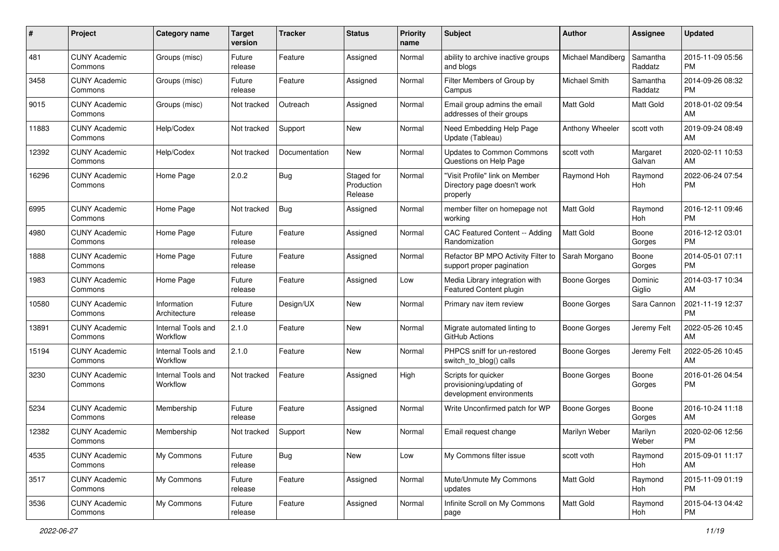| #     | Project                         | <b>Category name</b>           | <b>Target</b><br>version | <b>Tracker</b> | <b>Status</b>                       | <b>Priority</b><br>name | Subject                                                                     | Author              | <b>Assignee</b>     | <b>Updated</b>                |
|-------|---------------------------------|--------------------------------|--------------------------|----------------|-------------------------------------|-------------------------|-----------------------------------------------------------------------------|---------------------|---------------------|-------------------------------|
| 481   | <b>CUNY Academic</b><br>Commons | Groups (misc)                  | Future<br>release        | Feature        | Assigned                            | Normal                  | ability to archive inactive groups<br>and blogs                             | Michael Mandiberg   | Samantha<br>Raddatz | 2015-11-09 05:56<br>PM        |
| 3458  | <b>CUNY Academic</b><br>Commons | Groups (misc)                  | Future<br>release        | Feature        | Assigned                            | Normal                  | Filter Members of Group by<br>Campus                                        | Michael Smith       | Samantha<br>Raddatz | 2014-09-26 08:32<br><b>PM</b> |
| 9015  | <b>CUNY Academic</b><br>Commons | Groups (misc)                  | Not tracked              | Outreach       | Assigned                            | Normal                  | Email group admins the email<br>addresses of their groups                   | Matt Gold           | Matt Gold           | 2018-01-02 09:54<br>AM        |
| 11883 | <b>CUNY Academic</b><br>Commons | Help/Codex                     | Not tracked              | Support        | New                                 | Normal                  | Need Embedding Help Page<br>Update (Tableau)                                | Anthony Wheeler     | scott voth          | 2019-09-24 08:49<br>AM        |
| 12392 | <b>CUNY Academic</b><br>Commons | Help/Codex                     | Not tracked              | Documentation  | <b>New</b>                          | Normal                  | <b>Updates to Common Commons</b><br>Questions on Help Page                  | scott voth          | Margaret<br>Galvan  | 2020-02-11 10:53<br>AM        |
| 16296 | <b>CUNY Academic</b><br>Commons | Home Page                      | 2.0.2                    | Bug            | Staged for<br>Production<br>Release | Normal                  | "Visit Profile" link on Member<br>Directory page doesn't work<br>properly   | Raymond Hoh         | Raymond<br>Hoh      | 2022-06-24 07:54<br>PM        |
| 6995  | <b>CUNY Academic</b><br>Commons | Home Page                      | Not tracked              | <b>Bug</b>     | Assigned                            | Normal                  | member filter on homepage not<br>working                                    | <b>Matt Gold</b>    | Raymond<br>Hoh      | 2016-12-11 09:46<br><b>PM</b> |
| 4980  | <b>CUNY Academic</b><br>Commons | Home Page                      | Future<br>release        | Feature        | Assigned                            | Normal                  | CAC Featured Content -- Adding<br>Randomization                             | Matt Gold           | Boone<br>Gorges     | 2016-12-12 03:01<br>PM        |
| 1888  | <b>CUNY Academic</b><br>Commons | Home Page                      | Future<br>release        | Feature        | Assigned                            | Normal                  | Refactor BP MPO Activity Filter to<br>support proper pagination             | Sarah Morgano       | Boone<br>Gorges     | 2014-05-01 07:11<br><b>PM</b> |
| 1983  | <b>CUNY Academic</b><br>Commons | Home Page                      | Future<br>release        | Feature        | Assigned                            | Low                     | Media Library integration with<br>Featured Content plugin                   | <b>Boone Gorges</b> | Dominic<br>Giglio   | 2014-03-17 10:34<br>AM        |
| 10580 | <b>CUNY Academic</b><br>Commons | Information<br>Architecture    | Future<br>release        | Design/UX      | New                                 | Normal                  | Primary nav item review                                                     | <b>Boone Gorges</b> | Sara Cannon         | 2021-11-19 12:37<br><b>PM</b> |
| 13891 | <b>CUNY Academic</b><br>Commons | Internal Tools and<br>Workflow | 2.1.0                    | Feature        | New                                 | Normal                  | Migrate automated linting to<br>GitHub Actions                              | Boone Gorges        | Jeremy Felt         | 2022-05-26 10:45<br>AM        |
| 15194 | <b>CUNY Academic</b><br>Commons | Internal Tools and<br>Workflow | 2.1.0                    | Feature        | New                                 | Normal                  | PHPCS sniff for un-restored<br>switch_to_blog() calls                       | Boone Gorges        | Jeremy Felt         | 2022-05-26 10:45<br>AM        |
| 3230  | <b>CUNY Academic</b><br>Commons | Internal Tools and<br>Workflow | Not tracked              | Feature        | Assigned                            | High                    | Scripts for quicker<br>provisioning/updating of<br>development environments | <b>Boone Gorges</b> | Boone<br>Gorges     | 2016-01-26 04:54<br><b>PM</b> |
| 5234  | <b>CUNY Academic</b><br>Commons | Membership                     | Future<br>release        | Feature        | Assigned                            | Normal                  | Write Unconfirmed patch for WP                                              | <b>Boone Gorges</b> | Boone<br>Gorges     | 2016-10-24 11:18<br>AM        |
| 12382 | <b>CUNY Academic</b><br>Commons | Membership                     | Not tracked              | Support        | New                                 | Normal                  | Email request change                                                        | Marilyn Weber       | Marilyn<br>Weber    | 2020-02-06 12:56<br>PM        |
| 4535  | <b>CUNY Academic</b><br>Commons | My Commons                     | Future<br>release        | Bug            | New                                 | Low                     | My Commons filter issue                                                     | scott voth          | Raymond<br>Hoh      | 2015-09-01 11:17<br>AM        |
| 3517  | <b>CUNY Academic</b><br>Commons | My Commons                     | Future<br>release        | Feature        | Assigned                            | Normal                  | Mute/Unmute My Commons<br>updates                                           | Matt Gold           | Raymond<br>Hoh      | 2015-11-09 01:19<br><b>PM</b> |
| 3536  | <b>CUNY Academic</b><br>Commons | My Commons                     | Future<br>release        | Feature        | Assigned                            | Normal                  | Infinite Scroll on My Commons<br>page                                       | Matt Gold           | Raymond<br>Hoh      | 2015-04-13 04:42<br><b>PM</b> |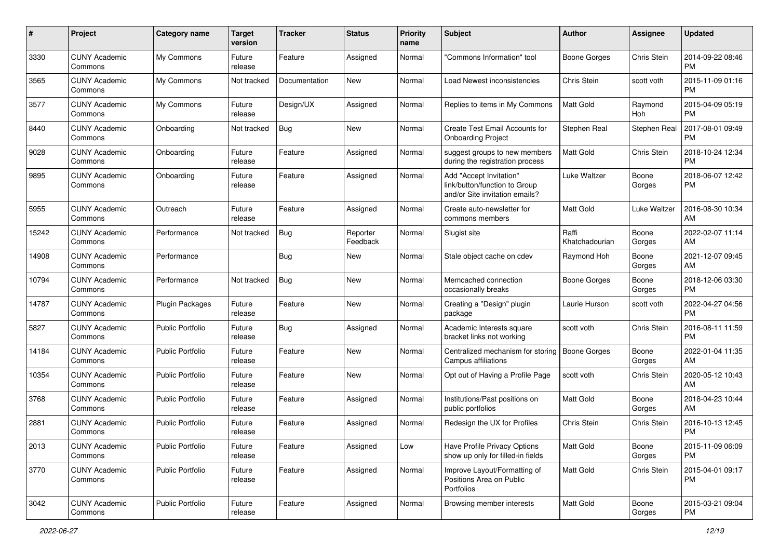| #     | Project                         | <b>Category name</b>    | <b>Target</b><br>version | <b>Tracker</b> | <b>Status</b>        | <b>Priority</b><br>name | Subject                                                                                    | Author                  | <b>Assignee</b> | <b>Updated</b>                |
|-------|---------------------------------|-------------------------|--------------------------|----------------|----------------------|-------------------------|--------------------------------------------------------------------------------------------|-------------------------|-----------------|-------------------------------|
| 3330  | <b>CUNY Academic</b><br>Commons | My Commons              | Future<br>release        | Feature        | Assigned             | Normal                  | 'Commons Information" tool                                                                 | <b>Boone Gorges</b>     | Chris Stein     | 2014-09-22 08:46<br><b>PM</b> |
| 3565  | <b>CUNY Academic</b><br>Commons | My Commons              | Not tracked              | Documentation  | New                  | Normal                  | Load Newest inconsistencies                                                                | Chris Stein             | scott voth      | 2015-11-09 01:16<br><b>PM</b> |
| 3577  | <b>CUNY Academic</b><br>Commons | My Commons              | Future<br>release        | Design/UX      | Assigned             | Normal                  | Replies to items in My Commons                                                             | <b>Matt Gold</b>        | Raymond<br>Hoh  | 2015-04-09 05:19<br><b>PM</b> |
| 8440  | <b>CUNY Academic</b><br>Commons | Onboarding              | Not tracked              | Bug            | New                  | Normal                  | <b>Create Test Email Accounts for</b><br><b>Onboarding Project</b>                         | Stephen Real            | Stephen Real    | 2017-08-01 09:49<br><b>PM</b> |
| 9028  | <b>CUNY Academic</b><br>Commons | Onboarding              | Future<br>release        | Feature        | Assigned             | Normal                  | suggest groups to new members<br>during the registration process                           | <b>Matt Gold</b>        | Chris Stein     | 2018-10-24 12:34<br><b>PM</b> |
| 9895  | <b>CUNY Academic</b><br>Commons | Onboarding              | Future<br>release        | Feature        | Assigned             | Normal                  | Add "Accept Invitation"<br>link/button/function to Group<br>and/or Site invitation emails? | Luke Waltzer            | Boone<br>Gorges | 2018-06-07 12:42<br><b>PM</b> |
| 5955  | <b>CUNY Academic</b><br>Commons | Outreach                | Future<br>release        | Feature        | Assigned             | Normal                  | Create auto-newsletter for<br>commons members                                              | <b>Matt Gold</b>        | Luke Waltzer    | 2016-08-30 10:34<br>AM        |
| 15242 | <b>CUNY Academic</b><br>Commons | Performance             | Not tracked              | <b>Bug</b>     | Reporter<br>Feedback | Normal                  | Slugist site                                                                               | Raffi<br>Khatchadourian | Boone<br>Gorges | 2022-02-07 11:14<br>AM        |
| 14908 | <b>CUNY Academic</b><br>Commons | Performance             |                          | <b>Bug</b>     | <b>New</b>           | Normal                  | Stale object cache on cdev                                                                 | Raymond Hoh             | Boone<br>Gorges | 2021-12-07 09:45<br>AM        |
| 10794 | <b>CUNY Academic</b><br>Commons | Performance             | Not tracked              | <b>Bug</b>     | New                  | Normal                  | Memcached connection<br>occasionally breaks                                                | <b>Boone Gorges</b>     | Boone<br>Gorges | 2018-12-06 03:30<br><b>PM</b> |
| 14787 | <b>CUNY Academic</b><br>Commons | <b>Plugin Packages</b>  | Future<br>release        | Feature        | New                  | Normal                  | Creating a "Design" plugin<br>package                                                      | Laurie Hurson           | scott voth      | 2022-04-27 04:56<br><b>PM</b> |
| 5827  | CUNY Academic<br>Commons        | <b>Public Portfolio</b> | Future<br>release        | Bug            | Assigned             | Normal                  | Academic Interests square<br>bracket links not working                                     | scott voth              | Chris Stein     | 2016-08-11 11:59<br><b>PM</b> |
| 14184 | <b>CUNY Academic</b><br>Commons | <b>Public Portfolio</b> | Future<br>release        | Feature        | <b>New</b>           | Normal                  | Centralized mechanism for storing<br>Campus affiliations                                   | Boone Gorges            | Boone<br>Gorges | 2022-01-04 11:35<br>AM        |
| 10354 | <b>CUNY Academic</b><br>Commons | <b>Public Portfolio</b> | Future<br>release        | Feature        | New                  | Normal                  | Opt out of Having a Profile Page                                                           | scott voth              | Chris Stein     | 2020-05-12 10:43<br>AM        |
| 3768  | <b>CUNY Academic</b><br>Commons | <b>Public Portfolio</b> | Future<br>release        | Feature        | Assigned             | Normal                  | Institutions/Past positions on<br>public portfolios                                        | Matt Gold               | Boone<br>Gorges | 2018-04-23 10:44<br>AM        |
| 2881  | <b>CUNY Academic</b><br>Commons | Public Portfolio        | Future<br>release        | Feature        | Assigned             | Normal                  | Redesign the UX for Profiles                                                               | Chris Stein             | Chris Stein     | 2016-10-13 12:45<br><b>PM</b> |
| 2013  | <b>CUNY Academic</b><br>Commons | Public Portfolio        | Future<br>release        | Feature        | Assigned             | Low                     | Have Profile Privacy Options<br>show up only for filled-in fields                          | Matt Gold               | Boone<br>Gorges | 2015-11-09 06:09<br>PM        |
| 3770  | <b>CUNY Academic</b><br>Commons | Public Portfolio        | Future<br>release        | Feature        | Assigned             | Normal                  | Improve Layout/Formatting of<br>Positions Area on Public<br>Portfolios                     | Matt Gold               | Chris Stein     | 2015-04-01 09:17<br>PM        |
| 3042  | <b>CUNY Academic</b><br>Commons | Public Portfolio        | Future<br>release        | Feature        | Assigned             | Normal                  | Browsing member interests                                                                  | Matt Gold               | Boone<br>Gorges | 2015-03-21 09:04<br><b>PM</b> |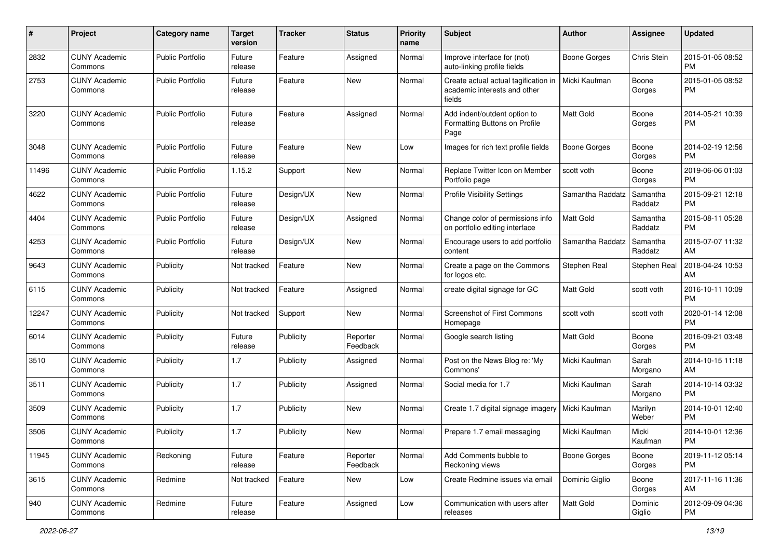| #     | Project                         | <b>Category name</b>    | <b>Target</b><br>version | <b>Tracker</b> | <b>Status</b>        | <b>Priority</b><br>name | <b>Subject</b>                                                                 | Author              | <b>Assignee</b>     | <b>Updated</b>                |
|-------|---------------------------------|-------------------------|--------------------------|----------------|----------------------|-------------------------|--------------------------------------------------------------------------------|---------------------|---------------------|-------------------------------|
| 2832  | <b>CUNY Academic</b><br>Commons | <b>Public Portfolio</b> | Future<br>release        | Feature        | Assigned             | Normal                  | Improve interface for (not)<br>auto-linking profile fields                     | <b>Boone Gorges</b> | Chris Stein         | 2015-01-05 08:52<br><b>PM</b> |
| 2753  | <b>CUNY Academic</b><br>Commons | <b>Public Portfolio</b> | Future<br>release        | Feature        | New                  | Normal                  | Create actual actual tagification in<br>academic interests and other<br>fields | Micki Kaufman       | Boone<br>Gorges     | 2015-01-05 08:52<br><b>PM</b> |
| 3220  | <b>CUNY Academic</b><br>Commons | <b>Public Portfolio</b> | Future<br>release        | Feature        | Assigned             | Normal                  | Add indent/outdent option to<br>Formatting Buttons on Profile<br>Page          | <b>Matt Gold</b>    | Boone<br>Gorges     | 2014-05-21 10:39<br><b>PM</b> |
| 3048  | <b>CUNY Academic</b><br>Commons | <b>Public Portfolio</b> | Future<br>release        | Feature        | <b>New</b>           | Low                     | Images for rich text profile fields                                            | <b>Boone Gorges</b> | Boone<br>Gorges     | 2014-02-19 12:56<br><b>PM</b> |
| 11496 | <b>CUNY Academic</b><br>Commons | <b>Public Portfolio</b> | 1.15.2                   | Support        | <b>New</b>           | Normal                  | Replace Twitter Icon on Member<br>Portfolio page                               | scott voth          | Boone<br>Gorges     | 2019-06-06 01:03<br><b>PM</b> |
| 4622  | <b>CUNY Academic</b><br>Commons | <b>Public Portfolio</b> | Future<br>release        | Design/UX      | New                  | Normal                  | <b>Profile Visibility Settings</b>                                             | Samantha Raddatz    | Samantha<br>Raddatz | 2015-09-21 12:18<br><b>PM</b> |
| 4404  | <b>CUNY Academic</b><br>Commons | <b>Public Portfolio</b> | Future<br>release        | Design/UX      | Assigned             | Normal                  | Change color of permissions info<br>on portfolio editing interface             | <b>Matt Gold</b>    | Samantha<br>Raddatz | 2015-08-11 05:28<br><b>PM</b> |
| 4253  | <b>CUNY Academic</b><br>Commons | <b>Public Portfolio</b> | Future<br>release        | Design/UX      | <b>New</b>           | Normal                  | Encourage users to add portfolio<br>content                                    | Samantha Raddatz    | Samantha<br>Raddatz | 2015-07-07 11:32<br>AM        |
| 9643  | <b>CUNY Academic</b><br>Commons | Publicity               | Not tracked              | Feature        | New                  | Normal                  | Create a page on the Commons<br>for logos etc.                                 | Stephen Real        | Stephen Real        | 2018-04-24 10:53<br>AM        |
| 6115  | <b>CUNY Academic</b><br>Commons | Publicity               | Not tracked              | Feature        | Assigned             | Normal                  | create digital signage for GC                                                  | <b>Matt Gold</b>    | scott voth          | 2016-10-11 10:09<br><b>PM</b> |
| 12247 | <b>CUNY Academic</b><br>Commons | Publicity               | Not tracked              | Support        | New                  | Normal                  | <b>Screenshot of First Commons</b><br>Homepage                                 | scott voth          | scott voth          | 2020-01-14 12:08<br><b>PM</b> |
| 6014  | <b>CUNY Academic</b><br>Commons | Publicity               | Future<br>release        | Publicity      | Reporter<br>Feedback | Normal                  | Google search listing                                                          | Matt Gold           | Boone<br>Gorges     | 2016-09-21 03:48<br><b>PM</b> |
| 3510  | <b>CUNY Academic</b><br>Commons | Publicity               | 1.7                      | Publicity      | Assigned             | Normal                  | Post on the News Blog re: 'My<br>Commons'                                      | Micki Kaufman       | Sarah<br>Morgano    | 2014-10-15 11:18<br>AM        |
| 3511  | <b>CUNY Academic</b><br>Commons | Publicity               | 1.7                      | Publicity      | Assigned             | Normal                  | Social media for 1.7                                                           | Micki Kaufman       | Sarah<br>Morgano    | 2014-10-14 03:32<br><b>PM</b> |
| 3509  | <b>CUNY Academic</b><br>Commons | Publicity               | 1.7                      | Publicity      | New                  | Normal                  | Create 1.7 digital signage imagery                                             | Micki Kaufman       | Marilyn<br>Weber    | 2014-10-01 12:40<br><b>PM</b> |
| 3506  | <b>CUNY Academic</b><br>Commons | Publicity               | 1.7                      | Publicity      | <b>New</b>           | Normal                  | Prepare 1.7 email messaging                                                    | Micki Kaufman       | Micki<br>Kaufman    | 2014-10-01 12:36<br>PM        |
| 11945 | <b>CUNY Academic</b><br>Commons | Reckoning               | Future<br>release        | Feature        | Reporter<br>Feedback | Normal                  | Add Comments bubble to<br>Reckoning views                                      | Boone Gorges        | Boone<br>Gorges     | 2019-11-12 05:14<br><b>PM</b> |
| 3615  | <b>CUNY Academic</b><br>Commons | Redmine                 | Not tracked              | Feature        | New                  | Low                     | Create Redmine issues via email                                                | Dominic Giglio      | Boone<br>Gorges     | 2017-11-16 11:36<br>AM        |
| 940   | <b>CUNY Academic</b><br>Commons | Redmine                 | Future<br>release        | Feature        | Assigned             | Low                     | Communication with users after<br>releases                                     | Matt Gold           | Dominic<br>Giglio   | 2012-09-09 04:36<br><b>PM</b> |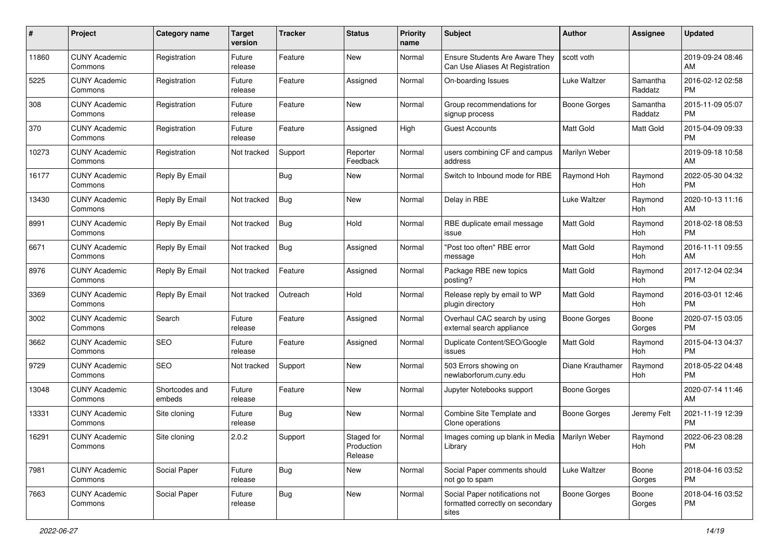| #     | Project                         | <b>Category name</b>     | <b>Target</b><br>version | <b>Tracker</b> | <b>Status</b>                       | <b>Priority</b><br>name | Subject                                                                     | Author              | Assignee            | <b>Updated</b>                |
|-------|---------------------------------|--------------------------|--------------------------|----------------|-------------------------------------|-------------------------|-----------------------------------------------------------------------------|---------------------|---------------------|-------------------------------|
| 11860 | <b>CUNY Academic</b><br>Commons | Registration             | Future<br>release        | Feature        | New                                 | Normal                  | <b>Ensure Students Are Aware They</b><br>Can Use Aliases At Registration    | scott voth          |                     | 2019-09-24 08:46<br>AM        |
| 5225  | <b>CUNY Academic</b><br>Commons | Registration             | Future<br>release        | Feature        | Assigned                            | Normal                  | On-boarding Issues                                                          | Luke Waltzer        | Samantha<br>Raddatz | 2016-02-12 02:58<br><b>PM</b> |
| 308   | <b>CUNY Academic</b><br>Commons | Registration             | Future<br>release        | Feature        | New                                 | Normal                  | Group recommendations for<br>signup process                                 | <b>Boone Gorges</b> | Samantha<br>Raddatz | 2015-11-09 05:07<br><b>PM</b> |
| 370   | <b>CUNY Academic</b><br>Commons | Registration             | Future<br>release        | Feature        | Assigned                            | High                    | <b>Guest Accounts</b>                                                       | <b>Matt Gold</b>    | Matt Gold           | 2015-04-09 09:33<br><b>PM</b> |
| 10273 | <b>CUNY Academic</b><br>Commons | Registration             | Not tracked              | Support        | Reporter<br>Feedback                | Normal                  | users combining CF and campus<br>address                                    | Marilyn Weber       |                     | 2019-09-18 10:58<br>AM        |
| 16177 | <b>CUNY Academic</b><br>Commons | Reply By Email           |                          | <b>Bug</b>     | <b>New</b>                          | Normal                  | Switch to Inbound mode for RBE                                              | Raymond Hoh         | Raymond<br>Hoh      | 2022-05-30 04:32<br><b>PM</b> |
| 13430 | <b>CUNY Academic</b><br>Commons | Reply By Email           | Not tracked              | <b>Bug</b>     | New                                 | Normal                  | Delay in RBE                                                                | Luke Waltzer        | Raymond<br>Hoh      | 2020-10-13 11:16<br>AM        |
| 8991  | <b>CUNY Academic</b><br>Commons | Reply By Email           | Not tracked              | <b>Bug</b>     | Hold                                | Normal                  | RBE duplicate email message<br>issue                                        | <b>Matt Gold</b>    | Raymond<br>Hoh      | 2018-02-18 08:53<br><b>PM</b> |
| 6671  | <b>CUNY Academic</b><br>Commons | Reply By Email           | Not tracked              | <b>Bug</b>     | Assigned                            | Normal                  | "Post too often" RBE error<br>message                                       | <b>Matt Gold</b>    | Raymond<br>Hoh      | 2016-11-11 09:55<br>AM        |
| 8976  | <b>CUNY Academic</b><br>Commons | Reply By Email           | Not tracked              | Feature        | Assigned                            | Normal                  | Package RBE new topics<br>posting?                                          | Matt Gold           | Raymond<br>Hoh      | 2017-12-04 02:34<br><b>PM</b> |
| 3369  | <b>CUNY Academic</b><br>Commons | Reply By Email           | Not tracked              | Outreach       | Hold                                | Normal                  | Release reply by email to WP<br>plugin directory                            | <b>Matt Gold</b>    | Raymond<br>Hoh      | 2016-03-01 12:46<br><b>PM</b> |
| 3002  | <b>CUNY Academic</b><br>Commons | Search                   | Future<br>release        | Feature        | Assigned                            | Normal                  | Overhaul CAC search by using<br>external search appliance                   | <b>Boone Gorges</b> | Boone<br>Gorges     | 2020-07-15 03:05<br><b>PM</b> |
| 3662  | <b>CUNY Academic</b><br>Commons | <b>SEO</b>               | Future<br>release        | Feature        | Assigned                            | Normal                  | Duplicate Content/SEO/Google<br>issues                                      | <b>Matt Gold</b>    | Raymond<br>Hoh      | 2015-04-13 04:37<br><b>PM</b> |
| 9729  | <b>CUNY Academic</b><br>Commons | <b>SEO</b>               | Not tracked              | Support        | New                                 | Normal                  | 503 Errors showing on<br>newlaborforum.cuny.edu                             | Diane Krauthamer    | Raymond<br>Hoh      | 2018-05-22 04:48<br><b>PM</b> |
| 13048 | <b>CUNY Academic</b><br>Commons | Shortcodes and<br>embeds | Future<br>release        | Feature        | New                                 | Normal                  | Jupyter Notebooks support                                                   | <b>Boone Gorges</b> |                     | 2020-07-14 11:46<br>AM        |
| 13331 | <b>CUNY Academic</b><br>Commons | Site cloning             | Future<br>release        | <b>Bug</b>     | New                                 | Normal                  | Combine Site Template and<br>Clone operations                               | <b>Boone Gorges</b> | Jeremy Felt         | 2021-11-19 12:39<br><b>PM</b> |
| 16291 | <b>CUNY Academic</b><br>Commons | Site cloning             | 2.0.2                    | Support        | Staged for<br>Production<br>Release | Normal                  | Images coming up blank in Media   Marilyn Weber<br>Library                  |                     | Ravmond<br>Hoh      | 2022-06-23 08:28<br>PM        |
| 7981  | <b>CUNY Academic</b><br>Commons | Social Paper             | Future<br>release        | <b>Bug</b>     | New                                 | Normal                  | Social Paper comments should<br>not go to spam                              | Luke Waltzer        | Boone<br>Gorges     | 2018-04-16 03:52<br><b>PM</b> |
| 7663  | <b>CUNY Academic</b><br>Commons | Social Paper             | Future<br>release        | <b>Bug</b>     | New                                 | Normal                  | Social Paper notifications not<br>formatted correctly on secondary<br>sites | <b>Boone Gorges</b> | Boone<br>Gorges     | 2018-04-16 03:52<br><b>PM</b> |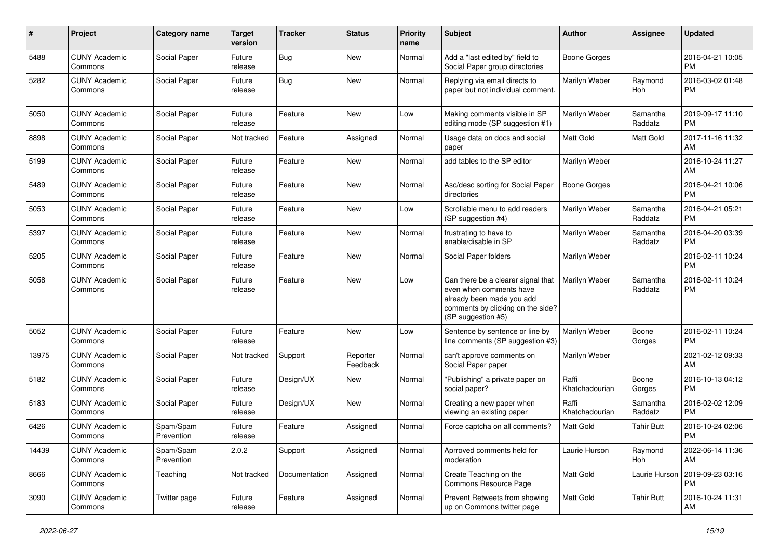| #     | Project                         | <b>Category name</b>    | <b>Target</b><br>version | <b>Tracker</b> | <b>Status</b>        | <b>Priority</b><br>name | <b>Subject</b>                                                                                                                                        | Author                  | <b>Assignee</b>     | <b>Updated</b>                |
|-------|---------------------------------|-------------------------|--------------------------|----------------|----------------------|-------------------------|-------------------------------------------------------------------------------------------------------------------------------------------------------|-------------------------|---------------------|-------------------------------|
| 5488  | <b>CUNY Academic</b><br>Commons | Social Paper            | Future<br>release        | <b>Bug</b>     | <b>New</b>           | Normal                  | Add a "last edited by" field to<br>Social Paper group directories                                                                                     | <b>Boone Gorges</b>     |                     | 2016-04-21 10:05<br><b>PM</b> |
| 5282  | <b>CUNY Academic</b><br>Commons | Social Paper            | Future<br>release        | Bug            | New                  | Normal                  | Replying via email directs to<br>paper but not individual comment.                                                                                    | Marilyn Weber           | Raymond<br>Hoh      | 2016-03-02 01:48<br><b>PM</b> |
| 5050  | <b>CUNY Academic</b><br>Commons | Social Paper            | Future<br>release        | Feature        | New                  | Low                     | Making comments visible in SP<br>editing mode (SP suggestion #1)                                                                                      | Marilyn Weber           | Samantha<br>Raddatz | 2019-09-17 11:10<br><b>PM</b> |
| 8898  | <b>CUNY Academic</b><br>Commons | Social Paper            | Not tracked              | Feature        | Assigned             | Normal                  | Usage data on docs and social<br>paper                                                                                                                | <b>Matt Gold</b>        | Matt Gold           | 2017-11-16 11:32<br>AM        |
| 5199  | <b>CUNY Academic</b><br>Commons | Social Paper            | Future<br>release        | Feature        | <b>New</b>           | Normal                  | add tables to the SP editor                                                                                                                           | Marilyn Weber           |                     | 2016-10-24 11:27<br>AM        |
| 5489  | <b>CUNY Academic</b><br>Commons | Social Paper            | Future<br>release        | Feature        | <b>New</b>           | Normal                  | Asc/desc sorting for Social Paper<br>directories                                                                                                      | <b>Boone Gorges</b>     |                     | 2016-04-21 10:06<br><b>PM</b> |
| 5053  | <b>CUNY Academic</b><br>Commons | Social Paper            | Future<br>release        | Feature        | New                  | Low                     | Scrollable menu to add readers<br>(SP suggestion #4)                                                                                                  | Marilyn Weber           | Samantha<br>Raddatz | 2016-04-21 05:21<br><b>PM</b> |
| 5397  | <b>CUNY Academic</b><br>Commons | Social Paper            | Future<br>release        | Feature        | New                  | Normal                  | frustrating to have to<br>enable/disable in SP                                                                                                        | Marilyn Weber           | Samantha<br>Raddatz | 2016-04-20 03:39<br><b>PM</b> |
| 5205  | <b>CUNY Academic</b><br>Commons | Social Paper            | Future<br>release        | Feature        | <b>New</b>           | Normal                  | Social Paper folders                                                                                                                                  | Marilyn Weber           |                     | 2016-02-11 10:24<br><b>PM</b> |
| 5058  | <b>CUNY Academic</b><br>Commons | Social Paper            | Future<br>release        | Feature        | New                  | Low                     | Can there be a clearer signal that<br>even when comments have<br>already been made you add<br>comments by clicking on the side?<br>(SP suggestion #5) | Marilyn Weber           | Samantha<br>Raddatz | 2016-02-11 10:24<br><b>PM</b> |
| 5052  | <b>CUNY Academic</b><br>Commons | Social Paper            | Future<br>release        | Feature        | New                  | Low                     | Sentence by sentence or line by<br>line comments (SP suggestion #3)                                                                                   | Marilyn Weber           | Boone<br>Gorges     | 2016-02-11 10:24<br><b>PM</b> |
| 13975 | <b>CUNY Academic</b><br>Commons | Social Paper            | Not tracked              | Support        | Reporter<br>Feedback | Normal                  | can't approve comments on<br>Social Paper paper                                                                                                       | Marilyn Weber           |                     | 2021-02-12 09:33<br>AM        |
| 5182  | <b>CUNY Academic</b><br>Commons | Social Paper            | Future<br>release        | Design/UX      | New                  | Normal                  | "Publishing" a private paper on<br>social paper?                                                                                                      | Raffi<br>Khatchadourian | Boone<br>Gorges     | 2016-10-13 04:12<br><b>PM</b> |
| 5183  | <b>CUNY Academic</b><br>Commons | Social Paper            | Future<br>release        | Design/UX      | <b>New</b>           | Normal                  | Creating a new paper when<br>viewing an existing paper                                                                                                | Raffi<br>Khatchadourian | Samantha<br>Raddatz | 2016-02-02 12:09<br><b>PM</b> |
| 6426  | <b>CUNY Academic</b><br>Commons | Spam/Spam<br>Prevention | Future<br>release        | Feature        | Assigned             | Normal                  | Force captcha on all comments?                                                                                                                        | <b>Matt Gold</b>        | <b>Tahir Butt</b>   | 2016-10-24 02:06<br>PM        |
| 14439 | <b>CUNY Academic</b><br>Commons | Spam/Spam<br>Prevention | 2.0.2                    | Support        | Assigned             | Normal                  | Aprroved comments held for<br>moderation                                                                                                              | Laurie Hurson           | Raymond<br>Hoh      | 2022-06-14 11:36<br>AM        |
| 8666  | <b>CUNY Academic</b><br>Commons | Teaching                | Not tracked              | Documentation  | Assigned             | Normal                  | Create Teaching on the<br>Commons Resource Page                                                                                                       | Matt Gold               | Laurie Hurson       | 2019-09-23 03:16<br><b>PM</b> |
| 3090  | <b>CUNY Academic</b><br>Commons | Twitter page            | Future<br>release        | Feature        | Assigned             | Normal                  | Prevent Retweets from showing<br>up on Commons twitter page                                                                                           | Matt Gold               | <b>Tahir Butt</b>   | 2016-10-24 11:31<br>AM        |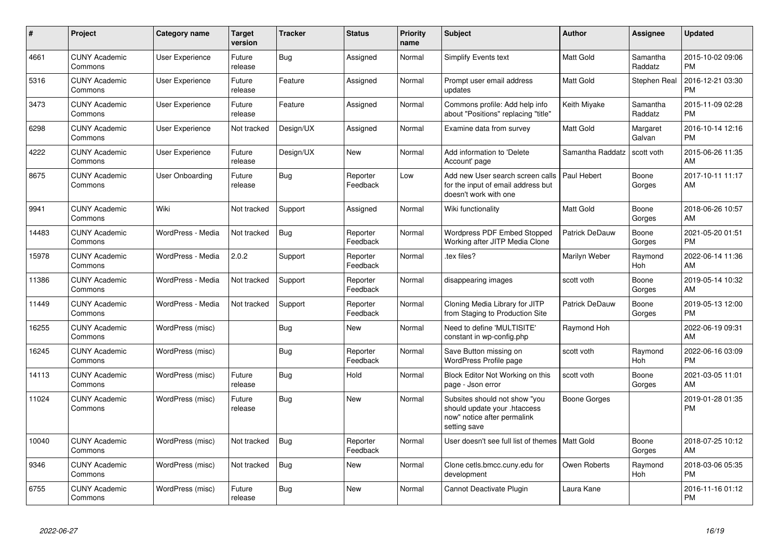| #     | Project                         | <b>Category name</b>   | <b>Target</b><br>version | <b>Tracker</b> | <b>Status</b>        | <b>Priority</b><br>name | <b>Subject</b>                                                                                               | <b>Author</b>    | <b>Assignee</b>     | <b>Updated</b>                |
|-------|---------------------------------|------------------------|--------------------------|----------------|----------------------|-------------------------|--------------------------------------------------------------------------------------------------------------|------------------|---------------------|-------------------------------|
| 4661  | <b>CUNY Academic</b><br>Commons | User Experience        | Future<br>release        | Bug            | Assigned             | Normal                  | Simplify Events text                                                                                         | <b>Matt Gold</b> | Samantha<br>Raddatz | 2015-10-02 09:06<br><b>PM</b> |
| 5316  | <b>CUNY Academic</b><br>Commons | <b>User Experience</b> | Future<br>release        | Feature        | Assigned             | Normal                  | Prompt user email address<br>updates                                                                         | Matt Gold        | Stephen Real        | 2016-12-21 03:30<br><b>PM</b> |
| 3473  | <b>CUNY Academic</b><br>Commons | <b>User Experience</b> | Future<br>release        | Feature        | Assigned             | Normal                  | Commons profile: Add help info<br>about "Positions" replacing "title"                                        | Keith Miyake     | Samantha<br>Raddatz | 2015-11-09 02:28<br><b>PM</b> |
| 6298  | <b>CUNY Academic</b><br>Commons | <b>User Experience</b> | Not tracked              | Design/UX      | Assigned             | Normal                  | Examine data from survey                                                                                     | Matt Gold        | Margaret<br>Galvan  | 2016-10-14 12:16<br><b>PM</b> |
| 4222  | <b>CUNY Academic</b><br>Commons | User Experience        | Future<br>release        | Design/UX      | New                  | Normal                  | Add information to 'Delete<br>Account' page                                                                  | Samantha Raddatz | scott voth          | 2015-06-26 11:35<br>AM        |
| 8675  | <b>CUNY Academic</b><br>Commons | User Onboarding        | Future<br>release        | <b>Bug</b>     | Reporter<br>Feedback | Low                     | Add new User search screen calls<br>for the input of email address but<br>doesn't work with one              | Paul Hebert      | Boone<br>Gorges     | 2017-10-11 11:17<br>AM        |
| 9941  | <b>CUNY Academic</b><br>Commons | Wiki                   | Not tracked              | Support        | Assigned             | Normal                  | Wiki functionality                                                                                           | <b>Matt Gold</b> | Boone<br>Gorges     | 2018-06-26 10:57<br>AM        |
| 14483 | <b>CUNY Academic</b><br>Commons | WordPress - Media      | Not tracked              | <b>Bug</b>     | Reporter<br>Feedback | Normal                  | Wordpress PDF Embed Stopped<br>Working after JITP Media Clone                                                | Patrick DeDauw   | Boone<br>Gorges     | 2021-05-20 01:51<br><b>PM</b> |
| 15978 | <b>CUNY Academic</b><br>Commons | WordPress - Media      | 2.0.2                    | Support        | Reporter<br>Feedback | Normal                  | tex files?                                                                                                   | Marilyn Weber    | Raymond<br>Hoh      | 2022-06-14 11:36<br>AM        |
| 11386 | <b>CUNY Academic</b><br>Commons | WordPress - Media      | Not tracked              | Support        | Reporter<br>Feedback | Normal                  | disappearing images                                                                                          | scott voth       | Boone<br>Gorges     | 2019-05-14 10:32<br>AM        |
| 11449 | <b>CUNY Academic</b><br>Commons | WordPress - Media      | Not tracked              | Support        | Reporter<br>Feedback | Normal                  | Cloning Media Library for JITP<br>from Staging to Production Site                                            | Patrick DeDauw   | Boone<br>Gorges     | 2019-05-13 12:00<br><b>PM</b> |
| 16255 | <b>CUNY Academic</b><br>Commons | WordPress (misc)       |                          | Bug            | <b>New</b>           | Normal                  | Need to define 'MULTISITE'<br>constant in wp-config.php                                                      | Raymond Hoh      |                     | 2022-06-19 09:31<br>AM        |
| 16245 | <b>CUNY Academic</b><br>Commons | WordPress (misc)       |                          | Bug            | Reporter<br>Feedback | Normal                  | Save Button missing on<br>WordPress Profile page                                                             | scott voth       | Raymond<br>Hoh      | 2022-06-16 03:09<br><b>PM</b> |
| 14113 | <b>CUNY Academic</b><br>Commons | WordPress (misc)       | Future<br>release        | <b>Bug</b>     | Hold                 | Normal                  | Block Editor Not Working on this<br>page - Json error                                                        | scott voth       | Boone<br>Gorges     | 2021-03-05 11:01<br>AM        |
| 11024 | <b>CUNY Academic</b><br>Commons | WordPress (misc)       | Future<br>release        | Bug            | <b>New</b>           | Normal                  | Subsites should not show "you<br>should update your .htaccess<br>now" notice after permalink<br>setting save | Boone Gorges     |                     | 2019-01-28 01:35<br><b>PM</b> |
| 10040 | <b>CUNY Academic</b><br>Commons | WordPress (misc)       | Not tracked              | <b>Bug</b>     | Reporter<br>Feedback | Normal                  | User doesn't see full list of themes I                                                                       | <b>Matt Gold</b> | Boone<br>Gorges     | 2018-07-25 10:12<br>AM        |
| 9346  | <b>CUNY Academic</b><br>Commons | WordPress (misc)       | Not tracked              | Bug            | <b>New</b>           | Normal                  | Clone cetls.bmcc.cuny.edu for<br>development                                                                 | Owen Roberts     | Raymond<br>Hoh      | 2018-03-06 05:35<br><b>PM</b> |
| 6755  | <b>CUNY Academic</b><br>Commons | WordPress (misc)       | Future<br>release        | <b>Bug</b>     | <b>New</b>           | Normal                  | Cannot Deactivate Plugin                                                                                     | Laura Kane       |                     | 2016-11-16 01:12<br><b>PM</b> |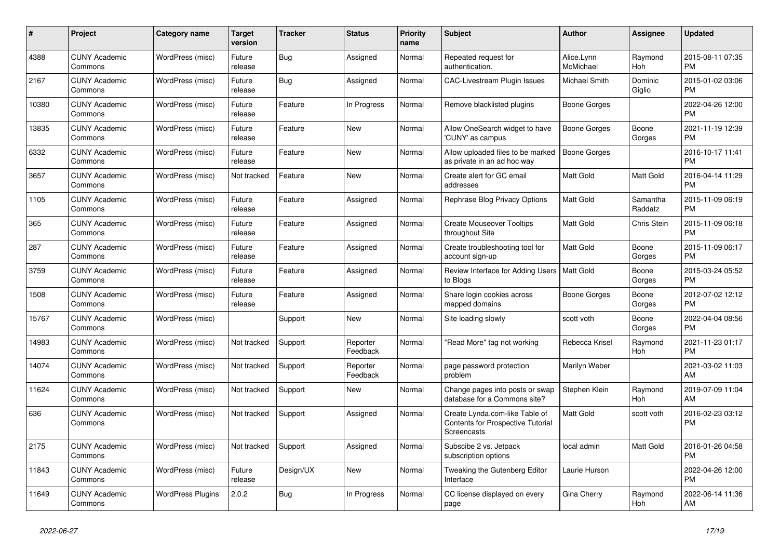| $\#$  | <b>Project</b>                  | Category name            | <b>Target</b><br>version | <b>Tracker</b> | <b>Status</b>        | <b>Priority</b><br>name | <b>Subject</b>                                                                     | Author                  | Assignee            | <b>Updated</b>                |
|-------|---------------------------------|--------------------------|--------------------------|----------------|----------------------|-------------------------|------------------------------------------------------------------------------------|-------------------------|---------------------|-------------------------------|
| 4388  | <b>CUNY Academic</b><br>Commons | WordPress (misc)         | Future<br>release        | Bug            | Assigned             | Normal                  | Repeated request for<br>authentication.                                            | Alice.Lynn<br>McMichael | Raymond<br>Hoh      | 2015-08-11 07:35<br><b>PM</b> |
| 2167  | <b>CUNY Academic</b><br>Commons | WordPress (misc)         | Future<br>release        | Bug            | Assigned             | Normal                  | <b>CAC-Livestream Plugin Issues</b>                                                | Michael Smith           | Dominic<br>Giglio   | 2015-01-02 03:06<br><b>PM</b> |
| 10380 | <b>CUNY Academic</b><br>Commons | WordPress (misc)         | Future<br>release        | Feature        | In Progress          | Normal                  | Remove blacklisted plugins                                                         | Boone Gorges            |                     | 2022-04-26 12:00<br><b>PM</b> |
| 13835 | <b>CUNY Academic</b><br>Commons | WordPress (misc)         | Future<br>release        | Feature        | <b>New</b>           | Normal                  | Allow OneSearch widget to have<br>'CUNY' as campus                                 | <b>Boone Gorges</b>     | Boone<br>Gorges     | 2021-11-19 12:39<br><b>PM</b> |
| 6332  | <b>CUNY Academic</b><br>Commons | WordPress (misc)         | Future<br>release        | Feature        | <b>New</b>           | Normal                  | Allow uploaded files to be marked<br>as private in an ad hoc way                   | <b>Boone Gorges</b>     |                     | 2016-10-17 11:41<br><b>PM</b> |
| 3657  | <b>CUNY Academic</b><br>Commons | WordPress (misc)         | Not tracked              | Feature        | New                  | Normal                  | Create alert for GC email<br>addresses                                             | Matt Gold               | <b>Matt Gold</b>    | 2016-04-14 11:29<br><b>PM</b> |
| 1105  | <b>CUNY Academic</b><br>Commons | WordPress (misc)         | Future<br>release        | Feature        | Assigned             | Normal                  | Rephrase Blog Privacy Options                                                      | <b>Matt Gold</b>        | Samantha<br>Raddatz | 2015-11-09 06:19<br><b>PM</b> |
| 365   | <b>CUNY Academic</b><br>Commons | WordPress (misc)         | Future<br>release        | Feature        | Assigned             | Normal                  | <b>Create Mouseover Tooltips</b><br>throughout Site                                | Matt Gold               | Chris Stein         | 2015-11-09 06:18<br><b>PM</b> |
| 287   | <b>CUNY Academic</b><br>Commons | WordPress (misc)         | Future<br>release        | Feature        | Assigned             | Normal                  | Create troubleshooting tool for<br>account sign-up                                 | Matt Gold               | Boone<br>Gorges     | 2015-11-09 06:17<br><b>PM</b> |
| 3759  | <b>CUNY Academic</b><br>Commons | WordPress (misc)         | Future<br>release        | Feature        | Assigned             | Normal                  | Review Interface for Adding Users   Matt Gold<br>to Blogs                          |                         | Boone<br>Gorges     | 2015-03-24 05:52<br><b>PM</b> |
| 1508  | <b>CUNY Academic</b><br>Commons | WordPress (misc)         | Future<br>release        | Feature        | Assigned             | Normal                  | Share login cookies across<br>mapped domains                                       | Boone Gorges            | Boone<br>Gorges     | 2012-07-02 12:12<br><b>PM</b> |
| 15767 | <b>CUNY Academic</b><br>Commons | WordPress (misc)         |                          | Support        | <b>New</b>           | Normal                  | Site loading slowly                                                                | scott voth              | Boone<br>Gorges     | 2022-04-04 08:56<br><b>PM</b> |
| 14983 | <b>CUNY Academic</b><br>Commons | WordPress (misc)         | Not tracked              | Support        | Reporter<br>Feedback | Normal                  | 'Read More" tag not working                                                        | Rebecca Krisel          | Raymond<br>Hoh      | 2021-11-23 01:17<br><b>PM</b> |
| 14074 | <b>CUNY Academic</b><br>Commons | WordPress (misc)         | Not tracked              | Support        | Reporter<br>Feedback | Normal                  | page password protection<br>problem                                                | Marilyn Weber           |                     | 2021-03-02 11:03<br>AM        |
| 11624 | <b>CUNY Academic</b><br>Commons | WordPress (misc)         | Not tracked              | Support        | <b>New</b>           | Normal                  | Change pages into posts or swap<br>database for a Commons site?                    | Stephen Klein           | Raymond<br>Hoh      | 2019-07-09 11:04<br>AM        |
| 636   | <b>CUNY Academic</b><br>Commons | WordPress (misc)         | Not tracked              | Support        | Assigned             | Normal                  | Create Lynda.com-like Table of<br>Contents for Prospective Tutorial<br>Screencasts | Matt Gold               | scott voth          | 2016-02-23 03:12<br><b>PM</b> |
| 2175  | <b>CUNY Academic</b><br>Commons | WordPress (misc)         | Not tracked              | Support        | Assigned             | Normal                  | Subscibe 2 vs. Jetpack<br>subscription options                                     | local admin             | Matt Gold           | 2016-01-26 04:58<br><b>PM</b> |
| 11843 | <b>CUNY Academic</b><br>Commons | WordPress (misc)         | Future<br>release        | Design/UX      | <b>New</b>           | Normal                  | Tweaking the Gutenberg Editor<br>Interface                                         | Laurie Hurson           |                     | 2022-04-26 12:00<br><b>PM</b> |
| 11649 | <b>CUNY Academic</b><br>Commons | <b>WordPress Plugins</b> | 2.0.2                    | <b>Bug</b>     | In Progress          | Normal                  | CC license displayed on every<br>page                                              | Gina Cherry             | Raymond<br>Hoh      | 2022-06-14 11:36<br>AM        |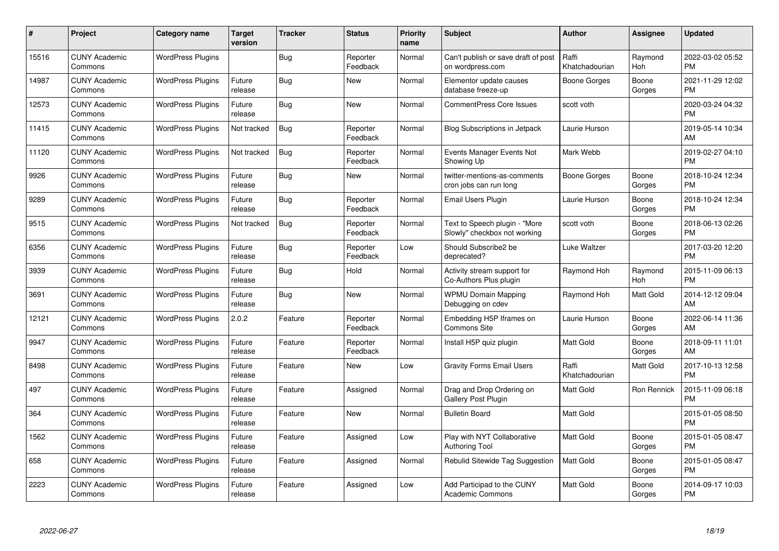| #     | Project                         | <b>Category name</b>     | Target<br>version | <b>Tracker</b> | <b>Status</b>        | <b>Priority</b><br>name | <b>Subject</b>                                                | Author                  | <b>Assignee</b> | <b>Updated</b>                |
|-------|---------------------------------|--------------------------|-------------------|----------------|----------------------|-------------------------|---------------------------------------------------------------|-------------------------|-----------------|-------------------------------|
| 15516 | <b>CUNY Academic</b><br>Commons | <b>WordPress Plugins</b> |                   | Bug            | Reporter<br>Feedback | Normal                  | Can't publish or save draft of post<br>on wordpress.com       | Raffi<br>Khatchadourian | Raymond<br>Hoh  | 2022-03-02 05:52<br><b>PM</b> |
| 14987 | <b>CUNY Academic</b><br>Commons | <b>WordPress Plugins</b> | Future<br>release | Bug            | <b>New</b>           | Normal                  | Elementor update causes<br>database freeze-up                 | Boone Gorges            | Boone<br>Gorges | 2021-11-29 12:02<br><b>PM</b> |
| 12573 | <b>CUNY Academic</b><br>Commons | <b>WordPress Plugins</b> | Future<br>release | <b>Bug</b>     | <b>New</b>           | Normal                  | <b>CommentPress Core Issues</b>                               | scott voth              |                 | 2020-03-24 04:32<br><b>PM</b> |
| 11415 | <b>CUNY Academic</b><br>Commons | <b>WordPress Plugins</b> | Not tracked       | <b>Bug</b>     | Reporter<br>Feedback | Normal                  | Blog Subscriptions in Jetpack                                 | Laurie Hurson           |                 | 2019-05-14 10:34<br>AM        |
| 11120 | <b>CUNY Academic</b><br>Commons | <b>WordPress Plugins</b> | Not tracked       | <b>Bug</b>     | Reporter<br>Feedback | Normal                  | Events Manager Events Not<br>Showing Up                       | Mark Webb               |                 | 2019-02-27 04:10<br><b>PM</b> |
| 9926  | <b>CUNY Academic</b><br>Commons | <b>WordPress Plugins</b> | Future<br>release | Bug            | <b>New</b>           | Normal                  | twitter-mentions-as-comments<br>cron jobs can run long        | <b>Boone Gorges</b>     | Boone<br>Gorges | 2018-10-24 12:34<br><b>PM</b> |
| 9289  | <b>CUNY Academic</b><br>Commons | <b>WordPress Plugins</b> | Future<br>release | Bug            | Reporter<br>Feedback | Normal                  | <b>Email Users Plugin</b>                                     | Laurie Hurson           | Boone<br>Gorges | 2018-10-24 12:34<br><b>PM</b> |
| 9515  | <b>CUNY Academic</b><br>Commons | <b>WordPress Plugins</b> | Not tracked       | Bug            | Reporter<br>Feedback | Normal                  | Text to Speech plugin - "More<br>Slowly" checkbox not working | scott voth              | Boone<br>Gorges | 2018-06-13 02:26<br><b>PM</b> |
| 6356  | <b>CUNY Academic</b><br>Commons | <b>WordPress Plugins</b> | Future<br>release | <b>Bug</b>     | Reporter<br>Feedback | Low                     | Should Subscribe2 be<br>deprecated?                           | Luke Waltzer            |                 | 2017-03-20 12:20<br><b>PM</b> |
| 3939  | <b>CUNY Academic</b><br>Commons | <b>WordPress Plugins</b> | Future<br>release | Bug            | Hold                 | Normal                  | Activity stream support for<br>Co-Authors Plus plugin         | Raymond Hoh             | Raymond<br>Hoh  | 2015-11-09 06:13<br>PM        |
| 3691  | <b>CUNY Academic</b><br>Commons | <b>WordPress Plugins</b> | Future<br>release | Bug            | <b>New</b>           | Normal                  | <b>WPMU Domain Mapping</b><br>Debugging on cdev               | Raymond Hoh             | Matt Gold       | 2014-12-12 09:04<br>AM        |
| 12121 | <b>CUNY Academic</b><br>Commons | <b>WordPress Plugins</b> | 2.0.2             | Feature        | Reporter<br>Feedback | Normal                  | Embedding H5P Iframes on<br><b>Commons Site</b>               | Laurie Hurson           | Boone<br>Gorges | 2022-06-14 11:36<br>AM        |
| 9947  | <b>CUNY Academic</b><br>Commons | <b>WordPress Plugins</b> | Future<br>release | Feature        | Reporter<br>Feedback | Normal                  | Install H5P quiz plugin                                       | <b>Matt Gold</b>        | Boone<br>Gorges | 2018-09-11 11:01<br>AM        |
| 8498  | <b>CUNY Academic</b><br>Commons | <b>WordPress Plugins</b> | Future<br>release | Feature        | <b>New</b>           | Low                     | <b>Gravity Forms Email Users</b>                              | Raffi<br>Khatchadourian | Matt Gold       | 2017-10-13 12:58<br><b>PM</b> |
| 497   | <b>CUNY Academic</b><br>Commons | <b>WordPress Plugins</b> | Future<br>release | Feature        | Assigned             | Normal                  | Drag and Drop Ordering on<br>Gallery Post Plugin              | Matt Gold               | Ron Rennick     | 2015-11-09 06:18<br><b>PM</b> |
| 364   | <b>CUNY Academic</b><br>Commons | <b>WordPress Plugins</b> | Future<br>release | Feature        | <b>New</b>           | Normal                  | <b>Bulletin Board</b>                                         | <b>Matt Gold</b>        |                 | 2015-01-05 08:50<br><b>PM</b> |
| 1562  | <b>CUNY Academic</b><br>Commons | <b>WordPress Plugins</b> | Future<br>release | Feature        | Assigned             | Low                     | Play with NYT Collaborative<br><b>Authoring Tool</b>          | <b>Matt Gold</b>        | Boone<br>Gorges | 2015-01-05 08:47<br><b>PM</b> |
| 658   | <b>CUNY Academic</b><br>Commons | <b>WordPress Plugins</b> | Future<br>release | Feature        | Assigned             | Normal                  | Rebulid Sitewide Tag Suggestion                               | Matt Gold               | Boone<br>Gorges | 2015-01-05 08:47<br><b>PM</b> |
| 2223  | <b>CUNY Academic</b><br>Commons | <b>WordPress Plugins</b> | Future<br>release | Feature        | Assigned             | Low                     | Add Participad to the CUNY<br><b>Academic Commons</b>         | Matt Gold               | Boone<br>Gorges | 2014-09-17 10:03<br><b>PM</b> |